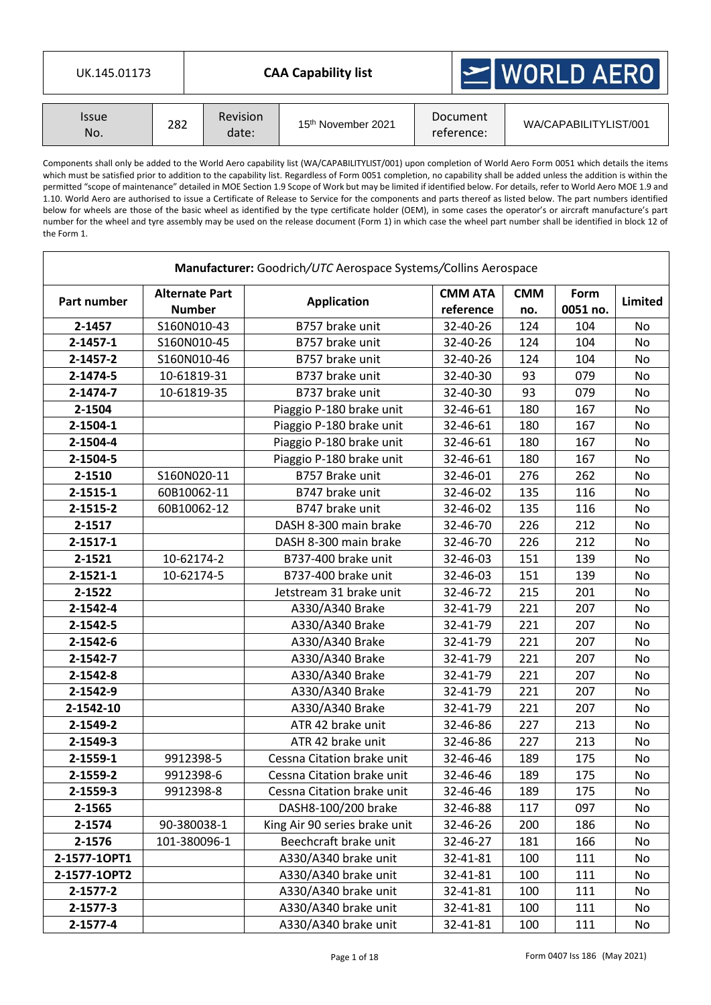| UK.145.01173                      |     |                          | <b>CAA Capability list</b>     |                        | $\geq$ WORLD AERO     |  |  |  |
|-----------------------------------|-----|--------------------------|--------------------------------|------------------------|-----------------------|--|--|--|
| <i><u><b>Issue</b></u></i><br>No. | 282 | <b>Revision</b><br>date: | 15 <sup>th</sup> November 2021 | Document<br>reference: | WA/CAPABILITYLIST/001 |  |  |  |

Components shall only be added to the World Aero capability list (WA/CAPABILITYLIST/001) upon completion of World Aero Form 0051 which details the items which must be satisfied prior to addition to the capability list. Regardless of Form 0051 completion, no capability shall be added unless the addition is within the permitted "scope of maintenance" detailed in MOE Section 1.9 Scope of Work but may be limited if identified below. For details, refer to World Aero MOE 1.9 and 1.10. World Aero are authorised to issue a Certificate of Release to Service for the components and parts thereof as listed below. The part numbers identified below for wheels are those of the basic wheel as identified by the type certificate holder (OEM), in some cases the operator's or aircraft manufacture's part number for the wheel and tyre assembly may be used on the release document (Form 1) in which case the wheel part number shall be identified in block 12 of the Form 1.

|                |                                        | Manufacturer: Goodrich/UTC Aerospace Systems/Collins Aerospace |                             |                   |                  |           |
|----------------|----------------------------------------|----------------------------------------------------------------|-----------------------------|-------------------|------------------|-----------|
| Part number    | <b>Alternate Part</b><br><b>Number</b> | <b>Application</b>                                             | <b>CMM ATA</b><br>reference | <b>CMM</b><br>no. | Form<br>0051 no. | Limited   |
| 2-1457         | S160N010-43                            | B757 brake unit                                                | 32-40-26                    | 124               | 104              | No        |
| $2 - 1457 - 1$ | S160N010-45                            | B757 brake unit                                                | 32-40-26                    | 124               | 104              | <b>No</b> |
| 2-1457-2       | S160N010-46                            | B757 brake unit                                                | 32-40-26                    | 124               | 104              | No        |
| 2-1474-5       | 10-61819-31                            | B737 brake unit                                                | 32-40-30                    | 93                | 079              | No        |
| 2-1474-7       | 10-61819-35                            | B737 brake unit                                                | 32-40-30                    | 93                | 079              | No        |
| 2-1504         |                                        | Piaggio P-180 brake unit                                       | 32-46-61                    | 180               | 167              | No        |
| $2 - 1504 - 1$ |                                        | Piaggio P-180 brake unit                                       | 32-46-61                    | 180               | 167              | No        |
| 2-1504-4       |                                        | Piaggio P-180 brake unit                                       | 32-46-61                    | 180               | 167              | No        |
| 2-1504-5       |                                        | Piaggio P-180 brake unit                                       | 32-46-61                    | 180               | 167              | No        |
| 2-1510         | S160N020-11                            | B757 Brake unit                                                | 32-46-01                    | 276               | 262              | No        |
| $2 - 1515 - 1$ | 60B10062-11                            | B747 brake unit                                                | 32-46-02                    | 135               | 116              | No        |
| 2-1515-2       | 60B10062-12                            | B747 brake unit                                                | 32-46-02                    | 135               | 116              | No        |
| 2-1517         |                                        | DASH 8-300 main brake                                          | 32-46-70                    | 226               | 212              | No        |
| $2 - 1517 - 1$ |                                        | DASH 8-300 main brake                                          | 32-46-70                    | 226               | 212              | No        |
| 2-1521         | 10-62174-2                             | B737-400 brake unit                                            | 32-46-03                    | 151               | 139              | No        |
| $2 - 1521 - 1$ | 10-62174-5                             | B737-400 brake unit                                            | 32-46-03                    | 151               | 139              | No        |
| 2-1522         |                                        | Jetstream 31 brake unit                                        | 32-46-72                    | 215               | 201              | No        |
| 2-1542-4       |                                        | A330/A340 Brake                                                | 32-41-79                    | 221               | 207              | No        |
| 2-1542-5       |                                        | A330/A340 Brake                                                | 32-41-79                    | 221               | 207              | No        |
| 2-1542-6       |                                        | A330/A340 Brake                                                | 32-41-79                    | 221               | 207              | No        |
| 2-1542-7       |                                        | A330/A340 Brake                                                | 32-41-79                    | 221               | 207              | No        |
| 2-1542-8       |                                        | A330/A340 Brake                                                | 32-41-79                    | 221               | 207              | No        |
| 2-1542-9       |                                        | A330/A340 Brake                                                | 32-41-79                    | 221               | 207              | No        |
| 2-1542-10      |                                        | A330/A340 Brake                                                | 32-41-79                    | 221               | 207              | No        |
| 2-1549-2       |                                        | ATR 42 brake unit                                              | 32-46-86                    | 227               | 213              | No        |
| 2-1549-3       |                                        | ATR 42 brake unit                                              | 32-46-86                    | 227               | 213              | No        |
| 2-1559-1       | 9912398-5                              | Cessna Citation brake unit                                     | 32-46-46                    | 189               | 175              | No        |
| 2-1559-2       | 9912398-6                              | Cessna Citation brake unit                                     | 32-46-46                    | 189               | 175              | No        |
| 2-1559-3       | 9912398-8                              | Cessna Citation brake unit                                     | 32-46-46                    | 189               | 175              | No        |
| 2-1565         |                                        | DASH8-100/200 brake                                            | 32-46-88                    | 117               | 097              | No        |
| 2-1574         | 90-380038-1                            | King Air 90 series brake unit                                  | 32-46-26                    | 200               | 186              | No        |
| 2-1576         | 101-380096-1                           | Beechcraft brake unit                                          | 32-46-27                    | 181               | 166              | No        |
| 2-1577-10PT1   |                                        | A330/A340 brake unit                                           | 32-41-81                    | 100               | 111              | No        |
| 2-1577-10PT2   |                                        | A330/A340 brake unit                                           | 32-41-81                    | 100               | 111              | No        |
| 2-1577-2       |                                        | A330/A340 brake unit                                           | 32-41-81                    | 100               | 111              | No        |
| 2-1577-3       |                                        | A330/A340 brake unit                                           | 32-41-81                    | 100               | 111              | No        |
| 2-1577-4       |                                        | A330/A340 brake unit                                           | 32-41-81                    | 100               | 111              | No        |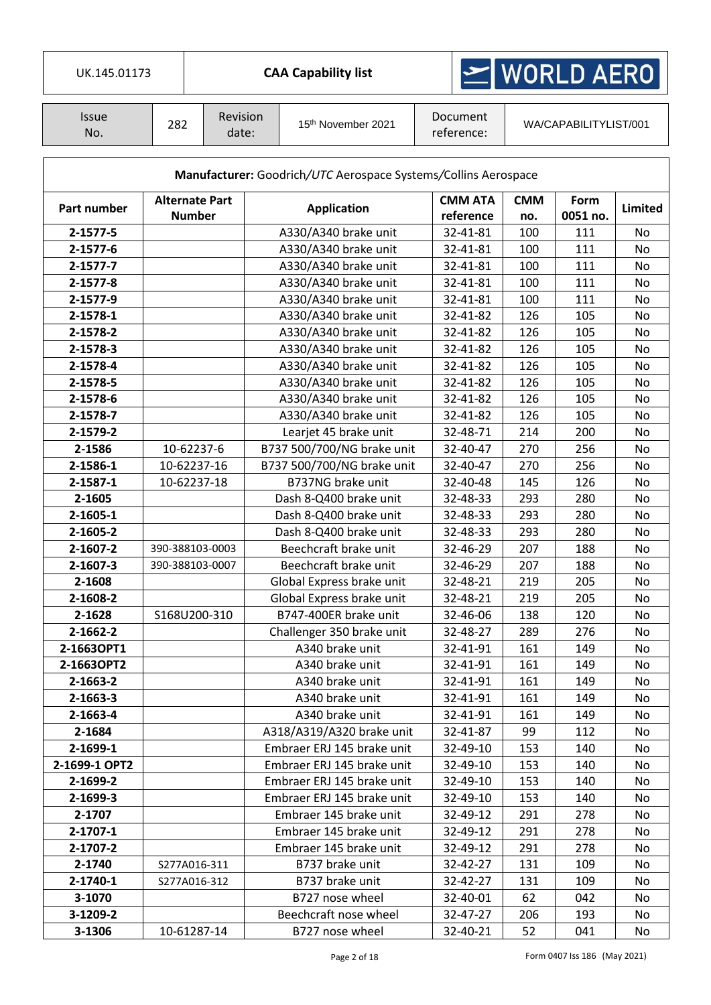| UK.145.01173        |     |                                        |                    | <b>CAA Capability list</b>                                     | $\geq$ WORLD AERO |                             |                   |                       |          |
|---------------------|-----|----------------------------------------|--------------------|----------------------------------------------------------------|-------------------|-----------------------------|-------------------|-----------------------|----------|
| <b>Issue</b><br>No. | 282 | Revision<br>date:                      |                    | 15 <sup>th</sup> November 2021                                 |                   | Document<br>reference:      |                   | WA/CAPABILITYLIST/001 |          |
|                     |     |                                        |                    | Manufacturer: Goodrich/UTC Aerospace Systems/Collins Aerospace |                   |                             |                   |                       |          |
| Part number         |     | <b>Alternate Part</b><br><b>Number</b> | <b>Application</b> |                                                                |                   | <b>CMM ATA</b><br>reference | <b>CMM</b><br>no. | Form<br>0051 no.      | Limited  |
| 2-1577-5            |     |                                        |                    | A330/A340 brake unit                                           |                   | 32-41-81                    | 100               | 111                   | No       |
| 2-1577-6            |     |                                        |                    | A330/A340 brake unit                                           |                   | 32-41-81                    | 100               | 111                   | No       |
| $2 - 1577 - 7$      |     |                                        |                    | A330/A340 brake unit                                           |                   | 32-41-81                    | 100               | 111                   | No       |
| $2 - 1577 - 8$      |     |                                        |                    | A330/A340 brake unit                                           |                   | 32-41-81                    | 100               | 111                   | No       |
| 2-1577-9            |     |                                        |                    | A330/A340 brake unit                                           |                   | 32-41-81                    | 100               | 111                   | No       |
| 2-1578-1            |     |                                        |                    | A330/A340 brake unit                                           |                   | 32-41-82                    | 126               | 105                   | No       |
| 2-1578-2            |     |                                        |                    | A330/A340 brake unit                                           |                   | 32-41-82                    | 126               | 105                   | No       |
| 2-1578-3            |     |                                        |                    | A330/A340 brake unit                                           |                   | 32-41-82                    | 126               | 105                   | No       |
| 2-1578-4            |     |                                        |                    | A330/A340 brake unit                                           |                   | 32-41-82                    | 126               | 105                   | No       |
| 2-1578-5            |     |                                        |                    | A330/A340 brake unit                                           |                   | 32-41-82                    | 126               | 105                   | No       |
| 2-1578-6            |     |                                        |                    | A330/A340 brake unit                                           |                   | 32-41-82                    | 126               | 105                   | No       |
| 2-1578-7            |     |                                        |                    | A330/A340 brake unit                                           |                   | 32-41-82                    | 126               | 105                   | No       |
| 2-1579-2            |     |                                        |                    | Learjet 45 brake unit                                          |                   | 32-48-71                    | 214<br>200        |                       | No       |
| 2-1586              |     | 10-62237-6                             |                    | B737 500/700/NG brake unit                                     |                   | 32-40-47                    | 270               | 256                   | No       |
| 2-1586-1            |     | 10-62237-16                            |                    | B737 500/700/NG brake unit                                     |                   | 32-40-47                    | 270               | 256                   | No       |
| 2-1587-1            |     | 10-62237-18                            |                    | B737NG brake unit                                              |                   | 32-40-48                    | 145               | 126                   | No       |
| 2-1605              |     |                                        |                    | Dash 8-Q400 brake unit                                         |                   | 32-48-33                    | 293               | 280                   | No       |
| 2-1605-1            |     |                                        |                    | Dash 8-Q400 brake unit                                         |                   | 32-48-33                    | 293               | 280                   | No       |
| 2-1605-2            |     |                                        |                    | Dash 8-Q400 brake unit                                         |                   | 32-48-33                    | 293               | 280                   | No       |
| 2-1607-2            |     | 390-388103-0003                        |                    | Beechcraft brake unit                                          |                   | 32-46-29                    | 207               | 188                   | No       |
| 2-1607-3            |     | 390-388103-0007                        |                    | Beechcraft brake unit                                          |                   | 32-46-29                    | 207               | 188                   | No       |
| 2-1608              |     |                                        |                    | Global Express brake unit                                      |                   | 32-48-21                    | 219               | 205                   | No       |
| 2-1608-2            |     |                                        |                    | Global Express brake unit                                      |                   | 32-48-21                    | 219               | 205                   |          |
|                     |     | S168U200-310                           |                    | B747-400ER brake unit                                          |                   |                             |                   | 120                   | No       |
| 2-1628              |     |                                        |                    |                                                                |                   | 32-46-06                    | 138               |                       | No       |
| 2-1662-2            |     |                                        |                    | Challenger 350 brake unit                                      |                   | 32-48-27                    | 289               | 276                   | No       |
| 2-1663OPT1          |     |                                        |                    | A340 brake unit                                                |                   | 32-41-91                    | 161               | 149                   | No       |
| 2-1663OPT2          |     |                                        |                    | A340 brake unit                                                |                   | 32-41-91                    | 161               | 149                   | No       |
| 2-1663-2            |     |                                        |                    | A340 brake unit                                                |                   | 32-41-91                    | 161               | 149                   | No       |
| 2-1663-3            |     |                                        |                    | A340 brake unit                                                |                   | 32-41-91                    | 161               | 149                   | No       |
| 2-1663-4            |     |                                        |                    | A340 brake unit                                                |                   | 32-41-91                    | 161               | 149                   | No       |
| 2-1684              |     |                                        |                    | A318/A319/A320 brake unit                                      |                   | 32-41-87                    | 99                | 112                   | No       |
| 2-1699-1            |     |                                        |                    | Embraer ERJ 145 brake unit                                     |                   | 32-49-10                    | 153               | 140                   | No       |
| 2-1699-1 OPT2       |     |                                        |                    | Embraer ERJ 145 brake unit                                     |                   | 32-49-10                    | 153               | 140                   | No       |
| 2-1699-2            |     |                                        |                    | Embraer ERJ 145 brake unit                                     |                   | 32-49-10                    | 153               | 140                   | No       |
| 2-1699-3            |     |                                        |                    | Embraer ERJ 145 brake unit                                     |                   | 32-49-10                    | 153               | 140                   | No       |
| 2-1707              |     |                                        |                    | Embraer 145 brake unit                                         |                   | 32-49-12                    | 291               | 278                   | No       |
| 2-1707-1            |     |                                        |                    | Embraer 145 brake unit                                         |                   | 32-49-12                    | 291               | 278                   | No       |
| 2-1707-2            |     |                                        |                    | Embraer 145 brake unit                                         |                   | 32-49-12                    | 291<br>278        |                       | No<br>No |
| 2-1740              |     | S277A016-311                           |                    | B737 brake unit                                                |                   | 32-42-27                    |                   | 131<br>109            |          |
| 2-1740-1            |     | S277A016-312                           |                    | B737 brake unit                                                |                   | 32-42-27                    | 131               | 109                   | No       |
| 3-1070              |     |                                        |                    | B727 nose wheel                                                |                   | 32-40-01                    | 62                | 042                   | No       |
| 3-1209-2            |     |                                        |                    | Beechcraft nose wheel                                          |                   | 32-47-27                    | 206               | 193                   | No       |
| 3-1306              |     | 10-61287-14                            |                    | B727 nose wheel                                                |                   | 32-40-21                    | 52                | 041                   | No       |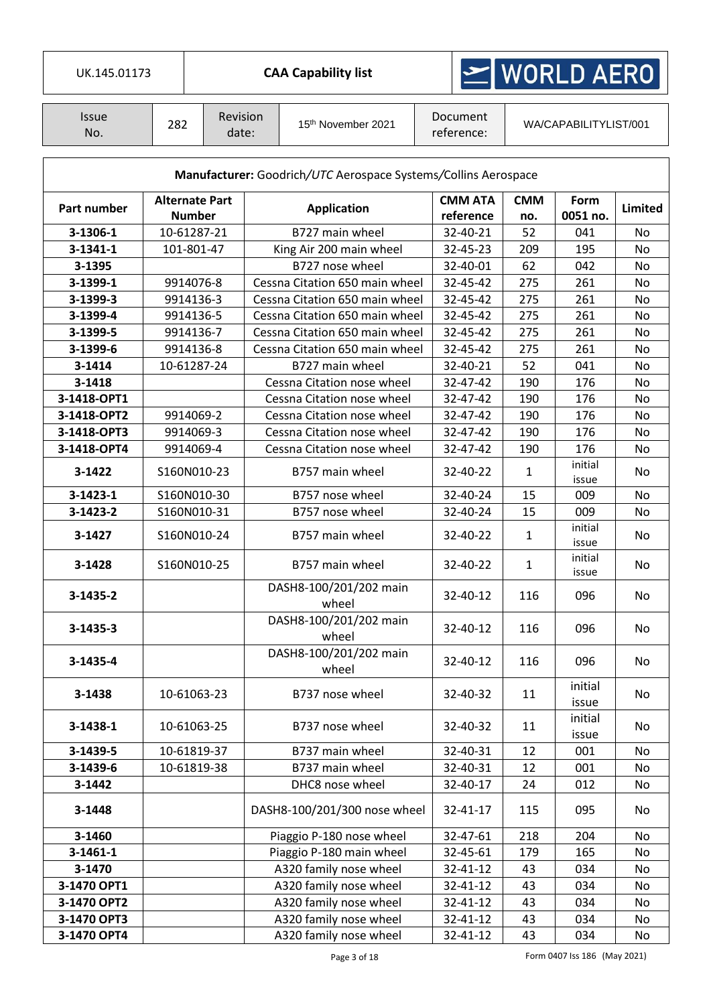| UK.145.01173        |                       |               |                          | <b>CAA Capability list</b>                                     |                             | $\geq$ WORLD AERO |                         |         |
|---------------------|-----------------------|---------------|--------------------------|----------------------------------------------------------------|-----------------------------|-------------------|-------------------------|---------|
| <b>Issue</b><br>No. | 282                   |               | <b>Revision</b><br>date: | 15 <sup>th</sup> November 2021                                 | Document<br>reference:      |                   | WA/CAPABILITYLIST/001   |         |
|                     |                       |               |                          | Manufacturer: Goodrich/UTC Aerospace Systems/Collins Aerospace |                             |                   |                         |         |
| Part number         | <b>Alternate Part</b> | <b>Number</b> |                          | <b>Application</b>                                             | <b>CMM ATA</b><br>reference | <b>CMM</b><br>no. | <b>Form</b><br>0051 no. | Limited |
| 3-1306-1            | 10-61287-21           |               |                          | B727 main wheel                                                | 32-40-21                    | 52                | 041                     | No      |
| 3-1341-1            |                       | 101-801-47    |                          | King Air 200 main wheel                                        | 32-45-23                    | 209               | 195                     | No      |
| 3-1395              |                       |               |                          | B727 nose wheel                                                | 32-40-01                    | 62                | 042                     | No      |
| 3-1399-1            |                       | 9914076-8     |                          | Cessna Citation 650 main wheel                                 | 32-45-42                    | 275               | 261                     | No      |
| 3-1399-3            |                       | 9914136-3     |                          | Cessna Citation 650 main wheel                                 | 32-45-42                    | 275               | 261                     | No      |
| 3-1399-4            |                       | 9914136-5     |                          | Cessna Citation 650 main wheel                                 | 32-45-42                    | 275               | 261                     | No      |
| 3-1399-5            |                       | 9914136-7     |                          | Cessna Citation 650 main wheel                                 | 32-45-42                    | 275               | 261                     | No      |
| 3-1399-6            |                       | 9914136-8     |                          | Cessna Citation 650 main wheel                                 | 32-45-42                    | 275               | 261                     | No      |
| 3-1414              | 10-61287-24           |               |                          | B727 main wheel                                                | 32-40-21                    | 52                | 041                     | No      |
| 3-1418              |                       |               |                          | Cessna Citation nose wheel                                     | 32-47-42                    | 190               | 176                     | No      |
| 3-1418-OPT1         |                       |               |                          | Cessna Citation nose wheel                                     | 32-47-42                    | 190               | 176                     | No      |
| 3-1418-OPT2         |                       | 9914069-2     |                          | Cessna Citation nose wheel                                     | 32-47-42                    | 190               | 176                     | No      |
| 3-1418-OPT3         |                       | 9914069-3     |                          | Cessna Citation nose wheel                                     | 32-47-42                    | 190               | 176                     | No      |
| 3-1418-OPT4         |                       | 9914069-4     |                          | Cessna Citation nose wheel                                     | 32-47-42                    | 190               | 176                     | No      |
| 3-1422              | S160N010-23           |               | B757 main wheel          | 32-40-22                                                       | 1                           | initial<br>issue  | No                      |         |
| $3 - 1423 - 1$      | S160N010-30           |               |                          | B757 nose wheel                                                | 32-40-24                    | 15                | 009                     | No      |
| 3-1423-2            | S160N010-31           |               |                          | B757 nose wheel                                                | 32-40-24                    | 15                | 009                     | No      |
| 3-1427              | S160N010-24           |               |                          | B757 main wheel                                                | 32-40-22                    | $\mathbf{1}$      | initial<br>issue        | No      |
| 3-1428              | S160N010-25           |               |                          | B757 main wheel                                                | 32-40-22                    | 1                 | initial<br>issue        | No      |
| 3-1435-2            |                       |               |                          | DASH8-100/201/202 main<br>wheel                                | 32-40-12                    | 116               | 096                     | No      |
| 3-1435-3            |                       |               |                          | DASH8-100/201/202 main<br>wheel                                | 32-40-12                    | 116               | 096                     | No      |
| 3-1435-4            |                       |               |                          | DASH8-100/201/202 main<br>wheel                                | 32-40-12                    | 116               | 096                     | No      |
| 3-1438              | 10-61063-23           |               |                          | B737 nose wheel                                                | 32-40-32                    | 11                | initial<br>issue        | No      |
| 3-1438-1            | 10-61063-25           |               |                          | B737 nose wheel                                                | 32-40-32                    | 11                | initial<br>issue        | No      |
| 3-1439-5            | 10-61819-37           |               |                          | B737 main wheel                                                | 32-40-31                    | 12                | 001                     | No      |
| 3-1439-6            | 10-61819-38           |               |                          | B737 main wheel                                                | 32-40-31                    | 12                | 001                     | No      |
| 3-1442              |                       |               |                          | DHC8 nose wheel                                                | 32-40-17                    | 24                | 012                     | No      |
| 3-1448              |                       |               |                          | DASH8-100/201/300 nose wheel                                   | 32-41-17                    | 115               | 095                     | No      |
| 3-1460              |                       |               |                          | Piaggio P-180 nose wheel                                       | 32-47-61                    | 218               | 204                     | No      |
| $3-1461-1$          |                       |               |                          | Piaggio P-180 main wheel                                       | 32-45-61                    | 179               | 165                     | No      |
| 3-1470              |                       |               |                          | A320 family nose wheel                                         | 32-41-12                    | 43                | 034                     | No      |
| 3-1470 OPT1         |                       |               |                          | A320 family nose wheel                                         | 32-41-12                    | 43                | 034                     | No      |
| 3-1470 OPT2         |                       |               |                          | A320 family nose wheel                                         | 32-41-12                    | 43                | 034                     | No      |
| 3-1470 OPT3         |                       |               |                          | A320 family nose wheel                                         | 32-41-12                    | 43                | 034                     | No      |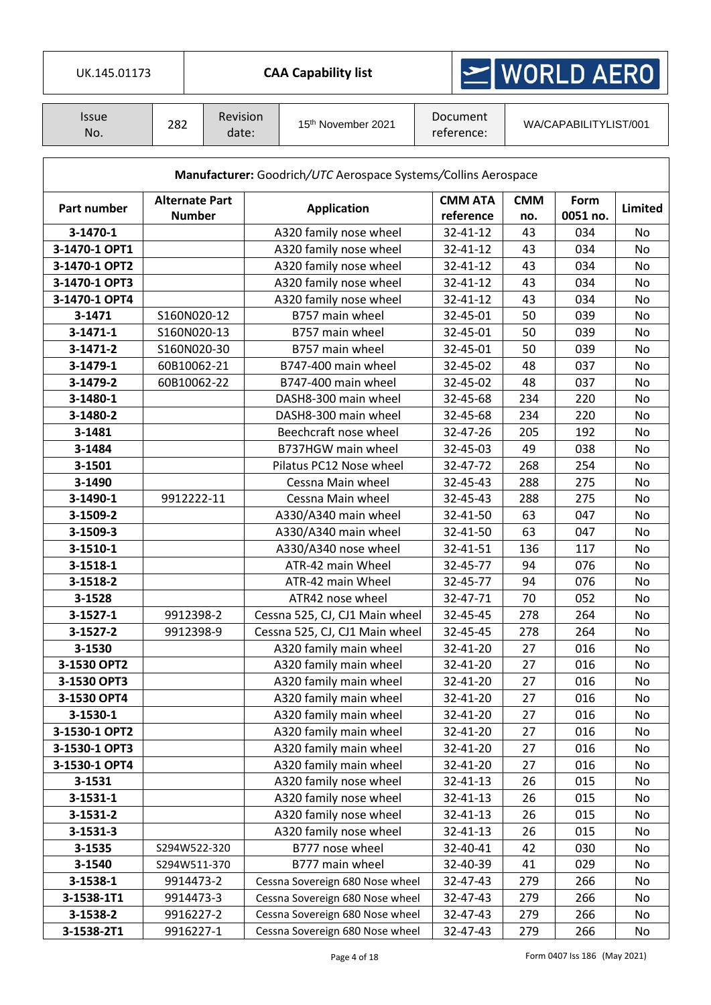| UK.145.01173        |                                        |            |                   |                    | <b>CAA Capability list</b>                                     |                             | MORLD AERO        |                       |           |
|---------------------|----------------------------------------|------------|-------------------|--------------------|----------------------------------------------------------------|-----------------------------|-------------------|-----------------------|-----------|
| <b>Issue</b><br>No. | 282                                    |            | Revision<br>date: |                    | 15th November 2021                                             | Document<br>reference:      |                   | WA/CAPABILITYLIST/001 |           |
|                     |                                        |            |                   |                    | Manufacturer: Goodrich/UTC Aerospace Systems/Collins Aerospace |                             |                   |                       |           |
| Part number         | <b>Alternate Part</b><br><b>Number</b> |            |                   | <b>Application</b> |                                                                | <b>CMM ATA</b><br>reference | <b>CMM</b><br>no. | Form<br>0051 no.      | Limited   |
| 3-1470-1            |                                        |            |                   |                    | A320 family nose wheel                                         | 32-41-12                    | 43                | 034                   | No        |
| 3-1470-1 OPT1       |                                        |            |                   |                    | A320 family nose wheel                                         | 32-41-12                    | 43                | 034                   | No        |
| 3-1470-1 OPT2       |                                        |            |                   |                    | A320 family nose wheel                                         | 32-41-12                    | 43                | 034                   | No        |
| 3-1470-1 OPT3       |                                        |            |                   |                    | A320 family nose wheel                                         | 32-41-12                    | 43                | 034                   | No        |
| 3-1470-1 OPT4       |                                        |            |                   |                    | A320 family nose wheel                                         | 32-41-12                    | 43                | 034                   | No        |
| 3-1471              | S160N020-12                            |            |                   |                    | B757 main wheel                                                | 32-45-01                    | 50                | 039                   | No        |
| $3 - 1471 - 1$      | S160N020-13                            |            |                   |                    | B757 main wheel                                                | 32-45-01                    | 50                | 039                   | No        |
| 3-1471-2            | S160N020-30                            |            |                   |                    | B757 main wheel                                                | 32-45-01                    | 50                | 039                   | <b>No</b> |
| 3-1479-1            | 60B10062-21                            |            |                   |                    | B747-400 main wheel                                            | 32-45-02                    | 48                | 037                   | No        |
| 3-1479-2            | 60B10062-22                            |            |                   |                    | B747-400 main wheel                                            | 32-45-02                    | 48                | 037                   | No        |
| 3-1480-1            |                                        |            |                   |                    | DASH8-300 main wheel                                           | 32-45-68                    | 234               | 220                   | No        |
| 3-1480-2            |                                        |            |                   |                    | DASH8-300 main wheel                                           | 32-45-68                    | 234               | 220                   | No        |
| 3-1481              |                                        |            |                   |                    | Beechcraft nose wheel                                          | 32-47-26                    | 205               | 192                   | No        |
| 3-1484              |                                        |            |                   |                    | B737HGW main wheel                                             | 32-45-03                    | 49                | 038                   | No        |
| 3-1501              |                                        |            |                   |                    | Pilatus PC12 Nose wheel                                        | 32-47-72                    | 268               | 254                   | No        |
| 3-1490              |                                        |            |                   |                    | Cessna Main wheel                                              | 32-45-43                    | 288               | 275                   | No        |
| 3-1490-1            |                                        | 9912222-11 |                   |                    | Cessna Main wheel                                              | 32-45-43                    | 288               | 275                   | No        |
| 3-1509-2            |                                        |            |                   |                    | A330/A340 main wheel                                           | 32-41-50                    | 63                | 047                   | No        |
| 3-1509-3            |                                        |            |                   |                    | A330/A340 main wheel                                           | 32-41-50                    | 63                | 047                   | No        |
| 3-1510-1            |                                        |            |                   |                    | A330/A340 nose wheel                                           | 32-41-51                    | 136               | 117                   | No        |
| $3 - 1518 - 1$      |                                        |            |                   |                    | ATR-42 main Wheel                                              | 32-45-77                    | 94                | 076                   | No        |
| 3-1518-2            |                                        |            |                   |                    | ATR-42 main Wheel                                              | 32-45-77                    | 94                | 076                   | No        |
| 3-1528              |                                        |            |                   |                    | ATR42 nose wheel                                               | 32-47-71                    | 70                | 052                   | No        |
| $3 - 1527 - 1$      |                                        | 9912398-2  |                   |                    | Cessna 525, CJ, CJ1 Main wheel                                 | 32-45-45                    | 278               | 264                   | No        |
| 3-1527-2            |                                        | 9912398-9  |                   |                    | Cessna 525, CJ, CJ1 Main wheel                                 | 32-45-45                    | 278               | 264                   | No        |
| 3-1530              |                                        |            |                   |                    | A320 family main wheel                                         | 32-41-20                    | 27                | 016                   | No        |
| 3-1530 OPT2         |                                        |            |                   |                    | A320 family main wheel                                         | 32-41-20                    | 27                | 016                   | No        |
| 3-1530 OPT3         |                                        |            |                   |                    | A320 family main wheel                                         | 32-41-20                    | 27                | 016                   | No        |
| 3-1530 OPT4         |                                        |            |                   |                    | A320 family main wheel                                         | 32-41-20                    | 27                | 016                   | No        |
| 3-1530-1            |                                        |            |                   |                    | A320 family main wheel                                         | 32-41-20                    | 27                | 016                   | No        |
| 3-1530-1 OPT2       |                                        |            |                   |                    | A320 family main wheel                                         | 32-41-20                    | 27                | 016                   | No        |
| 3-1530-1 OPT3       |                                        |            |                   |                    | A320 family main wheel                                         | 32-41-20                    | 27                | 016                   | No        |
| 3-1530-1 OPT4       |                                        |            |                   |                    | A320 family main wheel                                         | 32-41-20                    | 27                | 016                   | No        |
| 3-1531              |                                        |            |                   |                    | A320 family nose wheel                                         | 32-41-13                    | 26                | 015                   | No        |
| $3 - 1531 - 1$      |                                        |            |                   |                    | A320 family nose wheel                                         | 32-41-13                    | 26                | 015                   | No        |
| 3-1531-2            |                                        |            |                   |                    | A320 family nose wheel                                         | 32-41-13                    | 26                | 015                   | No        |
| $3 - 1531 - 3$      |                                        |            |                   |                    | A320 family nose wheel                                         | 32-41-13                    | 26                | 015                   | No        |
| 3-1535              | S294W522-320                           |            |                   |                    | B777 nose wheel                                                | 32-40-41                    | 42                | 030                   | No        |
| 3-1540              | S294W511-370                           |            |                   |                    | B777 main wheel                                                | 32-40-39                    | 41                | 029                   | No        |
|                     |                                        |            |                   |                    |                                                                |                             |                   |                       |           |
| 3-1538-1            |                                        | 9914473-2  |                   |                    | Cessna Sovereign 680 Nose wheel                                | 32-47-43                    | 279               | 266                   | No        |
| 3-1538-1T1          |                                        | 9914473-3  |                   |                    | Cessna Sovereign 680 Nose wheel                                | 32-47-43                    | 279               | 266                   | No        |
| 3-1538-2            |                                        | 9916227-2  |                   |                    | Cessna Sovereign 680 Nose wheel                                | 32-47-43                    | 279               | 266                   | No        |
| 3-1538-2T1          |                                        | 9916227-1  |                   |                    | Cessna Sovereign 680 Nose wheel                                | 32-47-43                    | 279               | 266                   | No        |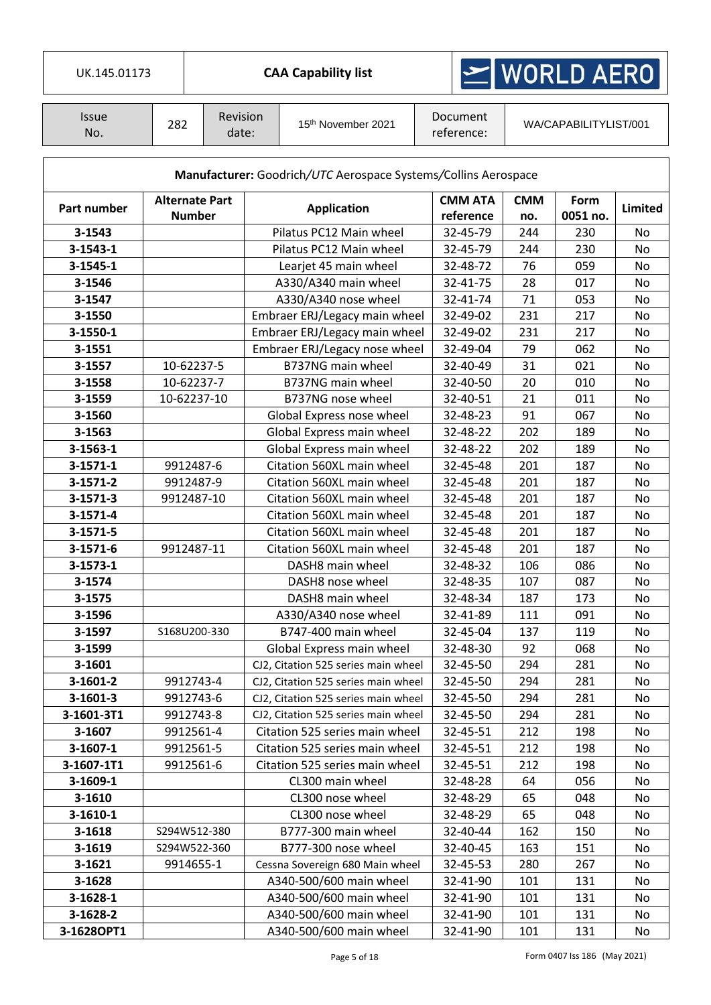| <b>CAA Capability list</b><br>UK.145.01173 |                                        |                   |                    |                                                                | $\geq$ WORLD AERO           |                   |                       |                |
|--------------------------------------------|----------------------------------------|-------------------|--------------------|----------------------------------------------------------------|-----------------------------|-------------------|-----------------------|----------------|
| <b>Issue</b><br>No.                        | 282                                    | Revision<br>date: |                    | 15 <sup>th</sup> November 2021                                 | Document<br>reference:      |                   | WA/CAPABILITYLIST/001 |                |
|                                            |                                        |                   |                    | Manufacturer: Goodrich/UTC Aerospace Systems/Collins Aerospace |                             |                   |                       |                |
| Part number                                | <b>Alternate Part</b><br><b>Number</b> |                   | <b>Application</b> |                                                                | <b>CMM ATA</b><br>reference | <b>CMM</b><br>no. | Form<br>0051 no.      | <b>Limited</b> |
| 3-1543                                     |                                        |                   |                    | Pilatus PC12 Main wheel                                        | 32-45-79                    | 244               | 230                   | No             |
| $3 - 1543 - 1$                             |                                        |                   |                    | Pilatus PC12 Main wheel                                        | 32-45-79                    | 244               | 230                   | No             |
| 3-1545-1                                   |                                        |                   |                    | Learjet 45 main wheel                                          | 32-48-72                    | 76                | 059                   | No             |
| 3-1546                                     |                                        |                   |                    | A330/A340 main wheel                                           | 32-41-75                    | 28                | 017                   | No             |
| 3-1547                                     |                                        |                   |                    | A330/A340 nose wheel                                           | 32-41-74                    | 71                | 053                   | No             |
| 3-1550                                     |                                        |                   |                    | Embraer ERJ/Legacy main wheel                                  | 32-49-02                    | 231               | 217                   | No             |
| 3-1550-1                                   |                                        |                   |                    | Embraer ERJ/Legacy main wheel                                  | 32-49-02                    | 231               | 217                   | No             |
| 3-1551                                     |                                        |                   |                    | Embraer ERJ/Legacy nose wheel                                  | 32-49-04                    | 79                | 062                   | <b>No</b>      |
| 3-1557                                     |                                        | 10-62237-5        |                    | B737NG main wheel                                              | 32-40-49                    | 31                | 021                   | No             |
| 3-1558                                     |                                        | 10-62237-7        |                    | B737NG main wheel                                              | 32-40-50                    | 20                | 010                   | No             |
| 3-1559                                     |                                        | 10-62237-10       |                    | B737NG nose wheel                                              | 32-40-51                    | 21                | 011                   | No             |
| 3-1560                                     |                                        |                   |                    | Global Express nose wheel                                      | 32-48-23                    | 91                | 067                   | No             |
| 3-1563                                     |                                        |                   |                    | Global Express main wheel                                      | 32-48-22                    | 202               | 189                   | No             |
| $3 - 1563 - 1$                             |                                        |                   |                    | Global Express main wheel                                      | 32-48-22                    | 202               | 189                   | No             |
| $3 - 1571 - 1$                             |                                        | 9912487-6         |                    | Citation 560XL main wheel                                      | 32-45-48                    | 201               | 187                   | No             |
| 3-1571-2                                   |                                        | 9912487-9         |                    | Citation 560XL main wheel                                      | 32-45-48                    | 201               | 187                   | No             |
| 3-1571-3                                   |                                        | 9912487-10        |                    | Citation 560XL main wheel                                      | 32-45-48                    | 201               | 187                   | No             |
| 3-1571-4                                   |                                        |                   |                    | Citation 560XL main wheel                                      | 32-45-48                    | 201               | 187                   | No             |
| 3-1571-5                                   |                                        |                   |                    | Citation 560XL main wheel                                      | 32-45-48                    | 201               | 187                   | No             |
| 3-1571-6                                   |                                        | 9912487-11        |                    | Citation 560XL main wheel                                      | 32-45-48                    | 201               | 187                   | No             |
| $3 - 1573 - 1$                             |                                        |                   |                    | DASH8 main wheel                                               | 32-48-32                    | 106               | 086                   | No             |
| 3-1574                                     |                                        |                   |                    | DASH8 nose wheel                                               | 32-48-35                    | 107               | 087                   | No             |
| 3-1575                                     |                                        |                   |                    | DASH8 main wheel                                               | 32-48-34                    | 187               | 173                   | No             |
| 3-1596                                     |                                        |                   |                    | A330/A340 nose wheel                                           | 32-41-89                    | 111               | 091                   | No             |
| 3-1597                                     |                                        | S168U200-330      |                    | B747-400 main wheel                                            | 32-45-04                    | 137               | 119                   | No             |
| 3-1599                                     |                                        |                   |                    | Global Express main wheel                                      | 32-48-30                    | 92                | 068                   | No             |
| 3-1601                                     |                                        |                   |                    | CJ2, Citation 525 series main wheel                            | 32-45-50                    | 294               | 281                   | No             |
| 3-1601-2                                   |                                        | 9912743-4         |                    | CJ2, Citation 525 series main wheel                            | 32-45-50                    | 294               | 281                   | No             |
| 3-1601-3                                   |                                        | 9912743-6         |                    | CJ2, Citation 525 series main wheel                            | 32-45-50                    | 294               | 281                   | No             |
| 3-1601-3T1                                 |                                        | 9912743-8         |                    | CJ2, Citation 525 series main wheel                            | 32-45-50                    | 294               | 281                   | No             |
| 3-1607                                     |                                        | 9912561-4         |                    | Citation 525 series main wheel                                 | 32-45-51                    | 212               | 198                   | No             |
| 3-1607-1                                   |                                        | 9912561-5         |                    | Citation 525 series main wheel                                 | 32-45-51                    | 212               | 198                   | No             |
| 3-1607-1T1                                 |                                        | 9912561-6         |                    | Citation 525 series main wheel                                 | 32-45-51                    | 212               | 198                   | No             |
| 3-1609-1                                   |                                        |                   |                    | CL300 main wheel                                               | 32-48-28                    | 64                | 056                   | No             |
| 3-1610                                     |                                        |                   |                    | CL300 nose wheel                                               | 32-48-29                    | 65                | 048                   | No             |
| $3-1610-1$                                 |                                        |                   |                    | CL300 nose wheel                                               | 32-48-29                    | 65                | 048                   | No             |
| 3-1618                                     |                                        | S294W512-380      |                    | B777-300 main wheel                                            | 32-40-44                    | 162               | 150                   | No             |
| 3-1619                                     |                                        | S294W522-360      |                    | B777-300 nose wheel                                            | 32-40-45                    | 163               | 151                   | No             |
| 3-1621                                     |                                        | 9914655-1         |                    | Cessna Sovereign 680 Main wheel                                | 32-45-53                    | 280               | 267                   | No             |
| 3-1628                                     |                                        |                   |                    | A340-500/600 main wheel                                        | 32-41-90                    | 101               | 131                   | No             |
| 3-1628-1                                   |                                        |                   |                    | A340-500/600 main wheel                                        | 32-41-90                    | 101               | 131                   | No             |
| 3-1628-2                                   |                                        |                   |                    | A340-500/600 main wheel                                        | 32-41-90                    | 101               | 131                   | No             |
| 3-1628OPT1                                 |                                        |                   |                    | A340-500/600 main wheel                                        | 32-41-90                    | 101               | 131                   | No             |

 $\overline{\phantom{a}}$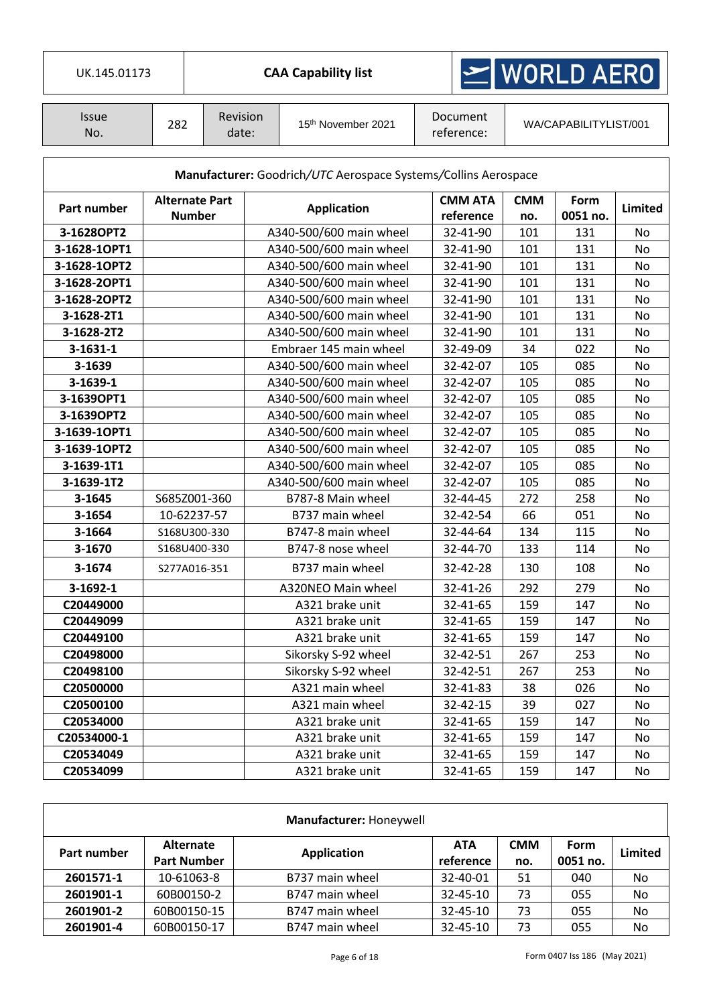| UK.145.01173        |     |                                        | <b>CAA Capability list</b>                                     |                             | MORLD AERO        |                       |         |  |
|---------------------|-----|----------------------------------------|----------------------------------------------------------------|-----------------------------|-------------------|-----------------------|---------|--|
| <b>Issue</b><br>No. | 282 | Revision<br>date:                      | 15th November 2021                                             | Document<br>reference:      |                   | WA/CAPABILITYLIST/001 |         |  |
|                     |     |                                        | Manufacturer: Goodrich/UTC Aerospace Systems/Collins Aerospace |                             |                   |                       |         |  |
| Part number         |     | <b>Alternate Part</b><br><b>Number</b> | <b>Application</b>                                             | <b>CMM ATA</b><br>reference | <b>CMM</b><br>no. | Form<br>0051 no.      | Limited |  |
| 3-1628OPT2          |     |                                        | A340-500/600 main wheel                                        | 32-41-90                    | 101               | 131                   | No      |  |
| 3-1628-1OPT1        |     |                                        | A340-500/600 main wheel                                        | 32-41-90                    | 101               | 131                   | No      |  |
| 3-1628-1OPT2        |     |                                        | A340-500/600 main wheel                                        | 32-41-90                    | 101               | 131                   | No      |  |
| 3-1628-2OPT1        |     |                                        | A340-500/600 main wheel                                        | 32-41-90                    | 101               | 131                   | No      |  |
| 3-1628-2OPT2        |     |                                        | A340-500/600 main wheel                                        | 32-41-90                    | 101               | 131                   | No      |  |
| 3-1628-2T1          |     |                                        | A340-500/600 main wheel                                        | 32-41-90                    | 101               | 131                   | No      |  |
| 3-1628-2T2          |     |                                        | A340-500/600 main wheel                                        | 32-41-90                    | 101               | 131                   | No      |  |
| $3 - 1631 - 1$      |     |                                        | Embraer 145 main wheel                                         | 32-49-09                    | 34                | 022                   | No      |  |
| 3-1639              |     |                                        | A340-500/600 main wheel                                        | 32-42-07                    | 105               | 085                   | No      |  |
| 3-1639-1            |     |                                        | A340-500/600 main wheel                                        | 32-42-07                    | 105               | 085                   | No      |  |
| 3-1639OPT1          |     |                                        | A340-500/600 main wheel                                        | 32-42-07                    | 105               | 085                   | No      |  |
| 3-1639OPT2          |     |                                        | A340-500/600 main wheel                                        | 32-42-07                    | 105               | 085                   | No      |  |
| 3-1639-1OPT1        |     |                                        | A340-500/600 main wheel                                        | 32-42-07                    | 105               | 085                   | No      |  |
| 3-1639-1OPT2        |     |                                        | A340-500/600 main wheel                                        | 32-42-07                    | 105               | 085                   | No      |  |
| 3-1639-1T1          |     |                                        | A340-500/600 main wheel                                        | 32-42-07                    | 105               | 085                   | No      |  |
| 3-1639-1T2          |     |                                        | A340-500/600 main wheel                                        | 32-42-07                    | 105               | 085                   | No      |  |
| 3-1645              |     | S685Z001-360                           | B787-8 Main wheel                                              | 32-44-45                    | 272               | 258                   | No      |  |
| 3-1654              |     | 10-62237-57                            | B737 main wheel                                                | 32-42-54                    | 66                | 051                   | No      |  |
| 3-1664              |     | S168U300-330                           | B747-8 main wheel                                              | 32-44-64                    | 134               | 115                   | No      |  |
| 3-1670              |     | S168U400-330                           | B747-8 nose wheel                                              | 32-44-70                    | 133               | 114                   | No      |  |
| 3-1674              |     | S277A016-351                           | B737 main wheel                                                | 32-42-28                    | 130               | 108                   | No      |  |
| 3-1692-1            |     |                                        | A320NEO Main wheel                                             | 32-41-26                    | 292               | 279                   | No.     |  |
| C20449000           |     |                                        | A321 brake unit                                                | 32-41-65                    | 159               | 147                   | No      |  |
| C20449099           |     |                                        | A321 brake unit                                                | 32-41-65                    | 159               | 147                   | No      |  |
| C20449100           |     |                                        | A321 brake unit                                                | 32-41-65                    | 159               | 147                   | No      |  |
| C20498000           |     |                                        | Sikorsky S-92 wheel                                            | 32-42-51                    | 267               | 253                   | No      |  |
| C20498100           |     |                                        | Sikorsky S-92 wheel                                            | 32-42-51                    | 267               | 253                   | No      |  |
| C20500000           |     |                                        | A321 main wheel                                                | 32-41-83                    | 38                | 026                   | No      |  |
| C20500100           |     |                                        | A321 main wheel                                                | 32-42-15                    | 39                | 027                   | No      |  |
| C20534000           |     |                                        | A321 brake unit                                                | 32-41-65                    | 159               | 147                   | No      |  |
| C20534000-1         |     |                                        | A321 brake unit                                                | 32-41-65                    | 159               | 147                   | No      |  |
| C20534049           |     |                                        | A321 brake unit                                                | 32-41-65                    | 159               | 147                   | No      |  |
| C20534099           |     |                                        | A321 brake unit                                                | 32-41-65                    | 159               | 147                   | No      |  |

|             |                                 | Manufacturer: Honeywell |                  |                   |                         |         |
|-------------|---------------------------------|-------------------------|------------------|-------------------|-------------------------|---------|
| Part number | Alternate<br><b>Part Number</b> | <b>Application</b>      | ATA<br>reference | <b>CMM</b><br>no. | <b>Form</b><br>0051 no. | Limited |
| 2601571-1   | 10-61063-8                      | B737 main wheel         | 32-40-01         | 51                | 040                     | No      |
| 2601901-1   | 60B00150-2                      | B747 main wheel         | $32 - 45 - 10$   | 73                | 055                     | No      |
| 2601901-2   | 60B00150-15                     | B747 main wheel         | $32 - 45 - 10$   | 73                | 055                     | No      |
| 2601901-4   | 60B00150-17                     | B747 main wheel         | 32-45-10         | 73                | 055                     | No      |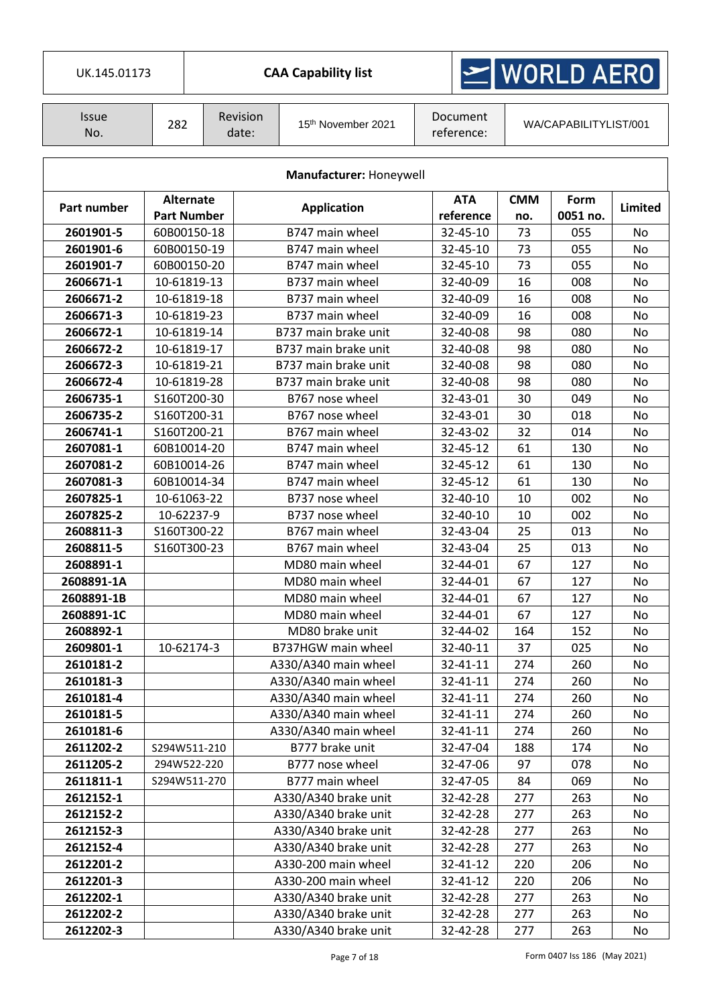| UK.145.01173 |  |
|--------------|--|

**CAA Capability list** 

# $\geq$  WORLD AERO

| <i><b>Issue</b></i><br>No. | 282 | <b>Revision</b><br>date: | 15 <sup>th</sup> November 2021 | Document<br>reference: | WA/CAPABILITYLIST/001 |
|----------------------------|-----|--------------------------|--------------------------------|------------------------|-----------------------|
|                            |     |                          |                                |                        |                       |

|             | Manufacturer: Honeywell         |                      |                         |                   |                  |           |  |  |  |  |  |  |
|-------------|---------------------------------|----------------------|-------------------------|-------------------|------------------|-----------|--|--|--|--|--|--|
| Part number | Alternate<br><b>Part Number</b> | <b>Application</b>   | <b>ATA</b><br>reference | <b>CMM</b><br>no. | Form<br>0051 no. | Limited   |  |  |  |  |  |  |
| 2601901-5   | 60B00150-18                     | B747 main wheel      | 32-45-10                | 73                | 055              | <b>No</b> |  |  |  |  |  |  |
| 2601901-6   | 60B00150-19                     | B747 main wheel      | 32-45-10                | 73                | 055              | No        |  |  |  |  |  |  |
| 2601901-7   | 60B00150-20                     | B747 main wheel      | 32-45-10                | 73                | 055              | No        |  |  |  |  |  |  |
| 2606671-1   | 10-61819-13                     | B737 main wheel      | 32-40-09                | 16                | 008              | <b>No</b> |  |  |  |  |  |  |
| 2606671-2   | 10-61819-18                     | B737 main wheel      | 32-40-09                | 16                | 008              | No        |  |  |  |  |  |  |
| 2606671-3   | 10-61819-23                     | B737 main wheel      | 32-40-09                | 16                | 008              | No        |  |  |  |  |  |  |
| 2606672-1   | 10-61819-14                     | B737 main brake unit | 32-40-08                | 98                | 080              | <b>No</b> |  |  |  |  |  |  |
| 2606672-2   | 10-61819-17                     | B737 main brake unit | 32-40-08                | 98                | 080              | <b>No</b> |  |  |  |  |  |  |
| 2606672-3   | 10-61819-21                     | B737 main brake unit | 32-40-08                | 98                | 080              | No        |  |  |  |  |  |  |
| 2606672-4   | 10-61819-28                     | B737 main brake unit | 32-40-08                | 98                | 080              | <b>No</b> |  |  |  |  |  |  |
| 2606735-1   | S160T200-30                     | B767 nose wheel      | 32-43-01                | 30                | 049              | No        |  |  |  |  |  |  |
| 2606735-2   | S160T200-31                     | B767 nose wheel      | 32-43-01                | 30                | 018              | No        |  |  |  |  |  |  |
| 2606741-1   | S160T200-21                     | B767 main wheel      | 32-43-02                | 32                | 014              | No        |  |  |  |  |  |  |
| 2607081-1   | 60B10014-20                     | B747 main wheel      | 32-45-12                | 61                | 130              | No        |  |  |  |  |  |  |
| 2607081-2   | 60B10014-26                     | B747 main wheel      | 32-45-12                | 61                | 130              | No        |  |  |  |  |  |  |
| 2607081-3   | 60B10014-34                     | B747 main wheel      | 32-45-12                | 61                | 130              | No        |  |  |  |  |  |  |
| 2607825-1   | 10-61063-22                     | B737 nose wheel      | 32-40-10                | 10                | 002              | No        |  |  |  |  |  |  |
| 2607825-2   | 10-62237-9                      | B737 nose wheel      | 32-40-10                | 10                | 002              | No        |  |  |  |  |  |  |
| 2608811-3   | S160T300-22                     | B767 main wheel      | 32-43-04                | 25                | 013              | <b>No</b> |  |  |  |  |  |  |
| 2608811-5   | S160T300-23                     | B767 main wheel      | 32-43-04                | 25                | 013              | No        |  |  |  |  |  |  |
| 2608891-1   |                                 | MD80 main wheel      | 32-44-01                | 67                | 127              | No        |  |  |  |  |  |  |
| 2608891-1A  |                                 | MD80 main wheel      | 32-44-01                | 67                | 127              | No        |  |  |  |  |  |  |
| 2608891-1B  |                                 | MD80 main wheel      | 32-44-01                | 67                | 127              | No        |  |  |  |  |  |  |
| 2608891-1C  |                                 | MD80 main wheel      | 32-44-01                | 67                | 127              | No        |  |  |  |  |  |  |
| 2608892-1   |                                 | MD80 brake unit      | 32-44-02                | 164               | 152              | No        |  |  |  |  |  |  |
| 2609801-1   | 10-62174-3                      | B737HGW main wheel   | 32-40-11                | 37                | 025              | No        |  |  |  |  |  |  |
| 2610181-2   |                                 | A330/A340 main wheel | 32-41-11                | 274               | 260              | No        |  |  |  |  |  |  |
| 2610181-3   |                                 | A330/A340 main wheel | 32-41-11                | 274               | 260              | No        |  |  |  |  |  |  |
| 2610181-4   |                                 | A330/A340 main wheel | 32-41-11                | 274               | 260              | No        |  |  |  |  |  |  |
| 2610181-5   |                                 | A330/A340 main wheel | 32-41-11                | 274               | 260              | No        |  |  |  |  |  |  |
| 2610181-6   |                                 | A330/A340 main wheel | 32-41-11                | 274               | 260              | No        |  |  |  |  |  |  |
| 2611202-2   | S294W511-210                    | B777 brake unit      | 32-47-04                | 188               | 174              | No        |  |  |  |  |  |  |
| 2611205-2   | 294W522-220                     | B777 nose wheel      | 32-47-06                | 97                | 078              | No        |  |  |  |  |  |  |
| 2611811-1   | S294W511-270                    | B777 main wheel      | 32-47-05                | 84                | 069              | No        |  |  |  |  |  |  |
| 2612152-1   |                                 | A330/A340 brake unit | 32-42-28                | 277               | 263              | No        |  |  |  |  |  |  |
| 2612152-2   |                                 | A330/A340 brake unit | 32-42-28                | 277               | 263              | No        |  |  |  |  |  |  |
| 2612152-3   |                                 | A330/A340 brake unit | 32-42-28                | 277               | 263              | No        |  |  |  |  |  |  |
| 2612152-4   |                                 | A330/A340 brake unit | 32-42-28                | 277               | 263              | No        |  |  |  |  |  |  |
| 2612201-2   |                                 | A330-200 main wheel  | 32-41-12                | 220               | 206              | No        |  |  |  |  |  |  |
| 2612201-3   |                                 | A330-200 main wheel  | 32-41-12                | 220               | 206              | No        |  |  |  |  |  |  |
| 2612202-1   |                                 | A330/A340 brake unit | 32-42-28                | 277               | 263              | No        |  |  |  |  |  |  |
| 2612202-2   |                                 | A330/A340 brake unit | 32-42-28                | 277               | 263              | No        |  |  |  |  |  |  |
| 2612202-3   |                                 | A330/A340 brake unit | 32-42-28                | 277               | 263              | No        |  |  |  |  |  |  |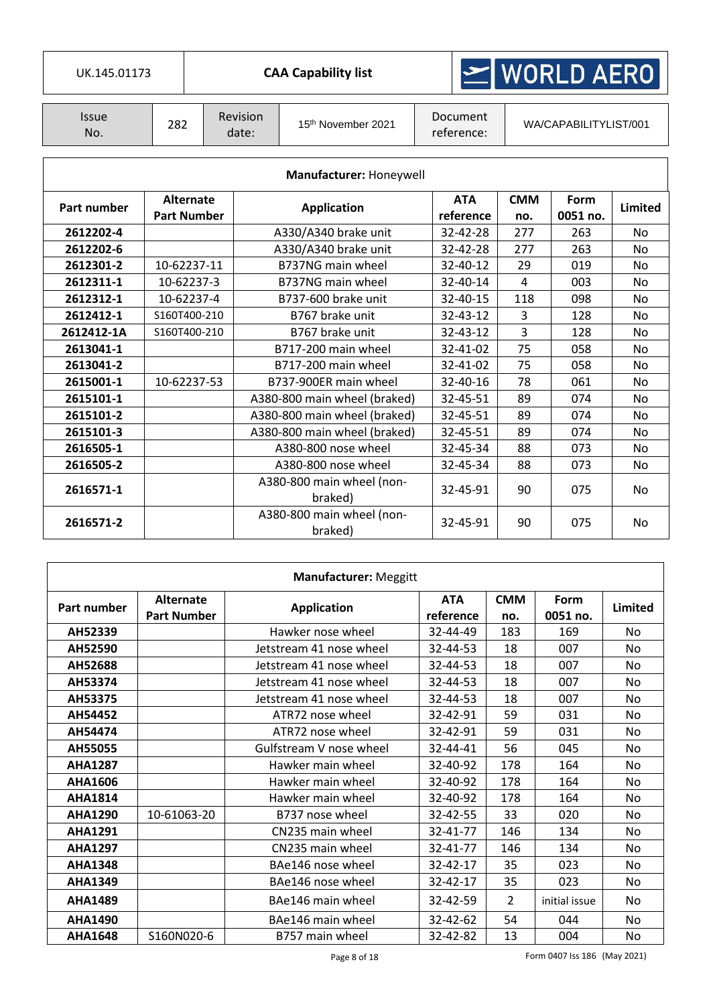|                     | $\leq$ WORLD AERO<br>UK.145.01173<br><b>CAA Capability list</b> |                   |  |                                      |  |                         |                       |                  |           |
|---------------------|-----------------------------------------------------------------|-------------------|--|--------------------------------------|--|-------------------------|-----------------------|------------------|-----------|
|                     |                                                                 |                   |  |                                      |  |                         |                       |                  |           |
| <b>Issue</b><br>No. | 282                                                             | Revision<br>date: |  | 15th November 2021                   |  | Document<br>reference:  | WA/CAPABILITYLIST/001 |                  |           |
|                     |                                                                 |                   |  |                                      |  |                         |                       |                  |           |
|                     |                                                                 |                   |  | Manufacturer: Honeywell              |  |                         |                       |                  |           |
| Part number         | <b>Alternate</b><br><b>Part Number</b>                          |                   |  | <b>Application</b>                   |  | <b>ATA</b><br>reference | <b>CMM</b><br>no.     | Form<br>0051 no. | Limited   |
| 2612202-4           |                                                                 |                   |  | A330/A340 brake unit                 |  | 32-42-28                | 277                   | 263              | <b>No</b> |
| 2612202-6           |                                                                 |                   |  | A330/A340 brake unit                 |  | 32-42-28                | 277                   | 263              | <b>No</b> |
| 2612301-2           |                                                                 | 10-62237-11       |  | B737NG main wheel                    |  | 32-40-12                | 29                    | 019              | No        |
| 2612311-1           |                                                                 | 10-62237-3        |  | B737NG main wheel                    |  | 32-40-14                | 4                     | 003              | No        |
| 2612312-1           |                                                                 | 10-62237-4        |  | B737-600 brake unit                  |  | 32-40-15                | 118                   | 098              | No        |
| 2612412-1           | S160T400-210                                                    |                   |  | B767 brake unit                      |  | 32-43-12                | 3                     | 128              | <b>No</b> |
| 2612412-1A          | S160T400-210                                                    |                   |  | B767 brake unit                      |  | 32-43-12                | 3                     | 128              | No        |
| 2613041-1           |                                                                 |                   |  | B717-200 main wheel                  |  | 32-41-02                | 75                    | 058              | <b>No</b> |
| 2613041-2           |                                                                 |                   |  | B717-200 main wheel                  |  | 32-41-02                | 75                    | 058              | No        |
| 2615001-1           | 10-62237-53                                                     |                   |  | B737-900ER main wheel                |  | 32-40-16                | 78                    | 061              | No        |
| 2615101-1           |                                                                 |                   |  | A380-800 main wheel (braked)         |  | 32-45-51                | 89                    | 074              | <b>No</b> |
| 2615101-2           |                                                                 |                   |  | A380-800 main wheel (braked)         |  | 32-45-51                | 89                    | 074              | No        |
| 2615101-3           |                                                                 |                   |  | A380-800 main wheel (braked)         |  | 32-45-51                | 89                    | 074              | <b>No</b> |
| 2616505-1           |                                                                 |                   |  | A380-800 nose wheel                  |  | 32-45-34                | 88                    | 073              | <b>No</b> |
| 2616505-2           |                                                                 |                   |  | A380-800 nose wheel                  |  | 32-45-34                | 88                    | 073              | <b>No</b> |
| 2616571-1           |                                                                 |                   |  | A380-800 main wheel (non-<br>braked) |  | 32-45-91                | 90                    | 075              | No        |
| 2616571-2           |                                                                 |                   |  | A380-800 main wheel (non-<br>braked) |  | 32-45-91                | 90                    | 075              | No        |

| <b>Manufacturer: Meggitt</b> |                                        |                                               |                       |                   |                  |           |  |  |  |  |
|------------------------------|----------------------------------------|-----------------------------------------------|-----------------------|-------------------|------------------|-----------|--|--|--|--|
| Part number                  | <b>Alternate</b><br><b>Part Number</b> | <b>ATA</b><br><b>Application</b><br>reference |                       | <b>CMM</b><br>no. | Form<br>0051 no. | Limited   |  |  |  |  |
| AH52339                      |                                        | Hawker nose wheel                             | 32-44-49              | 183               | 169              | No        |  |  |  |  |
| AH52590                      |                                        | Jetstream 41 nose wheel                       | 32-44-53<br>007<br>18 |                   |                  | No.       |  |  |  |  |
| AH52688                      |                                        | Jetstream 41 nose wheel                       | 32-44-53              | 18                | 007              | No        |  |  |  |  |
| AH53374                      |                                        | Jetstream 41 nose wheel                       | 32-44-53              | 18                | 007              | No        |  |  |  |  |
| AH53375                      |                                        | Jetstream 41 nose wheel                       | 32-44-53              | 18                | 007              | No        |  |  |  |  |
| AH54452                      |                                        | ATR72 nose wheel                              | 32-42-91              | 59                | 031              | No.       |  |  |  |  |
| AH54474                      |                                        | ATR72 nose wheel                              | 32-42-91              | 59                | 031              | No        |  |  |  |  |
| AH55055                      |                                        | Gulfstream V nose wheel                       | 32-44-41              | 56                | 045              | No.       |  |  |  |  |
| <b>AHA1287</b>               |                                        | Hawker main wheel                             | 32-40-92<br>178       |                   | 164              | No        |  |  |  |  |
| AHA1606                      |                                        | Hawker main wheel                             | 32-40-92              | 178               | 164              | No.       |  |  |  |  |
| <b>AHA1814</b>               |                                        | Hawker main wheel                             | 32-40-92              | 178               | 164              | No        |  |  |  |  |
| <b>AHA1290</b>               | 10-61063-20                            | B737 nose wheel                               | 32-42-55              | 33                | 020              | No.       |  |  |  |  |
| <b>AHA1291</b>               |                                        | CN235 main wheel                              | 32-41-77              | 146               | 134              | <b>No</b> |  |  |  |  |
| <b>AHA1297</b>               |                                        | CN235 main wheel                              | 32-41-77              | 146               | 134              | No.       |  |  |  |  |
| <b>AHA1348</b>               |                                        | BAe146 nose wheel                             | 32-42-17              | 35                | 023              | No        |  |  |  |  |
| <b>AHA1349</b>               |                                        | BAe146 nose wheel                             | 32-42-17              | 35                | 023              | No.       |  |  |  |  |
| <b>AHA1489</b>               |                                        | BAe146 main wheel                             | 32-42-59              | $\overline{2}$    | initial issue    | <b>No</b> |  |  |  |  |
| <b>AHA1490</b>               |                                        | BAe146 main wheel                             | 32-42-62              | 54                | 044              | No.       |  |  |  |  |
| <b>AHA1648</b>               | S160N020-6                             | B757 main wheel                               | 32-42-82              | 13                | 004              | No        |  |  |  |  |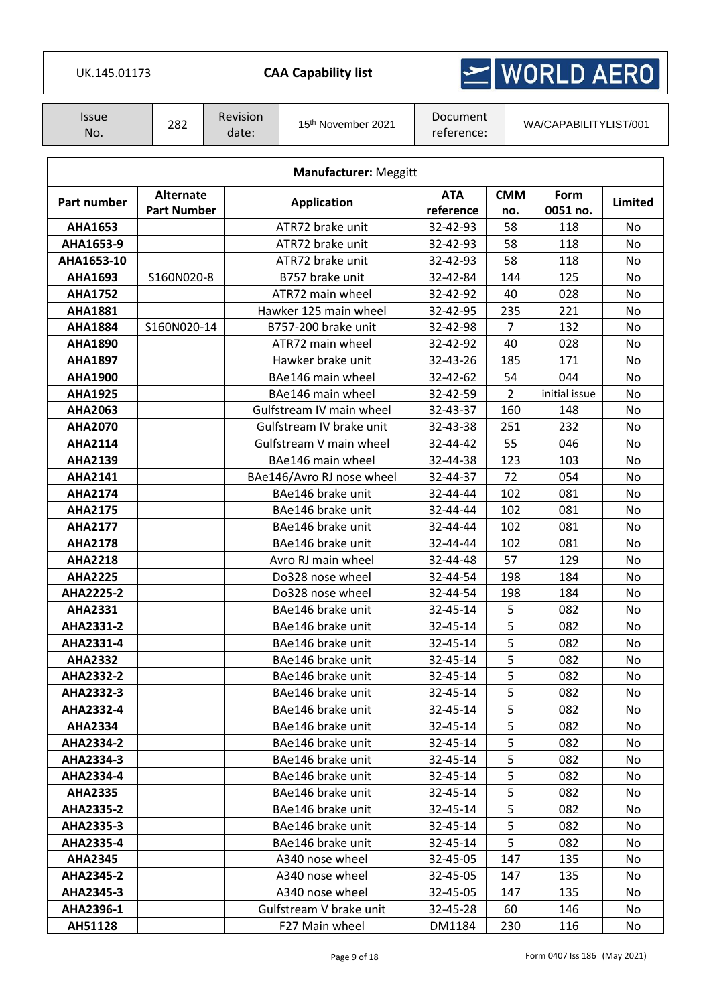Τ

**CAA Capability list** 

### WORLD AERO  $\geq$

| Issue<br>No. | 282 | <b>Revision</b><br>date: | 15 <sup>th</sup> November 2021 | Document<br>reference: | WA/CAPABILITYLIST/001 |
|--------------|-----|--------------------------|--------------------------------|------------------------|-----------------------|
|--------------|-----|--------------------------|--------------------------------|------------------------|-----------------------|

|                  | <b>Manufacturer: Meggitt</b>           |                           |                         |                   |                  |           |  |  |  |  |
|------------------|----------------------------------------|---------------------------|-------------------------|-------------------|------------------|-----------|--|--|--|--|
| Part number      | <b>Alternate</b><br><b>Part Number</b> | <b>Application</b>        | <b>ATA</b><br>reference | <b>CMM</b><br>no. | Form<br>0051 no. | Limited   |  |  |  |  |
| <b>AHA1653</b>   |                                        | ATR72 brake unit          | 32-42-93                | 58                | 118              | No        |  |  |  |  |
| AHA1653-9        |                                        | ATR72 brake unit          | 32-42-93                | 58                | 118              | No        |  |  |  |  |
| AHA1653-10       |                                        | ATR72 brake unit          | 32-42-93                | 58                | 118              | No        |  |  |  |  |
| <b>AHA1693</b>   | S160N020-8                             | B757 brake unit           | 32-42-84                | 144               | 125              | No        |  |  |  |  |
| <b>AHA1752</b>   |                                        | ATR72 main wheel          | 32-42-92                | 40                | 028              | No        |  |  |  |  |
| <b>AHA1881</b>   |                                        | Hawker 125 main wheel     | 32-42-95                | 235               | 221              | No        |  |  |  |  |
| <b>AHA1884</b>   | S160N020-14                            | B757-200 brake unit       | 32-42-98                | 7                 | 132              | No        |  |  |  |  |
| <b>AHA1890</b>   |                                        | ATR72 main wheel          | 32-42-92                | 40                | 028              | No        |  |  |  |  |
| <b>AHA1897</b>   |                                        | Hawker brake unit         | 32-43-26                | 185               | 171              | No        |  |  |  |  |
| <b>AHA1900</b>   |                                        | BAe146 main wheel         | 32-42-62                | 54                | 044              | No        |  |  |  |  |
| <b>AHA1925</b>   |                                        | BAe146 main wheel         | 32-42-59                | 2                 | initial issue    | No        |  |  |  |  |
| <b>AHA2063</b>   |                                        | Gulfstream IV main wheel  | 32-43-37                | 160               | 148              | No        |  |  |  |  |
| <b>AHA2070</b>   |                                        | Gulfstream IV brake unit  | 32-43-38                | 251               | 232              | No        |  |  |  |  |
| <b>AHA2114</b>   |                                        | Gulfstream V main wheel   | 32-44-42                | 55                | 046              | No        |  |  |  |  |
| <b>AHA2139</b>   |                                        | BAe146 main wheel         | 32-44-38                | 123               | 103              | No        |  |  |  |  |
| <b>AHA2141</b>   |                                        | BAe146/Avro RJ nose wheel | 32-44-37                | 72                | 054              | No        |  |  |  |  |
| <b>AHA2174</b>   |                                        | BAe146 brake unit         | 32-44-44                | 102               | 081              | No        |  |  |  |  |
| <b>AHA2175</b>   |                                        | BAe146 brake unit         | 32-44-44                | 102               | 081              | No        |  |  |  |  |
| <b>AHA2177</b>   |                                        | BAe146 brake unit         | 32-44-44                | 102               | 081              | No        |  |  |  |  |
| <b>AHA2178</b>   |                                        | BAe146 brake unit         | 32-44-44                | 102               | 081              | No        |  |  |  |  |
| <b>AHA2218</b>   |                                        | Avro RJ main wheel        | 32-44-48                | 57                | 129              | No        |  |  |  |  |
| <b>AHA2225</b>   |                                        | Do328 nose wheel          | 32-44-54                | 198               | 184              | <b>No</b> |  |  |  |  |
| <b>AHA2225-2</b> |                                        | Do328 nose wheel          | 32-44-54                | 198               | 184              | No        |  |  |  |  |
| <b>AHA2331</b>   |                                        | BAe146 brake unit         | 32-45-14                | 5                 | 082              | No        |  |  |  |  |
| AHA2331-2        |                                        | BAe146 brake unit         | 32-45-14                | 5                 | 082              | No        |  |  |  |  |
| AHA2331-4        |                                        | BAe146 brake unit         | 32-45-14                | 5                 | 082              | No        |  |  |  |  |
| <b>AHA2332</b>   |                                        | BAe146 brake unit         | 32-45-14                | 5                 | 082              | No        |  |  |  |  |
| AHA2332-2        |                                        | BAe146 brake unit         | 32-45-14                | 5                 | 082              | No        |  |  |  |  |
| AHA2332-3        |                                        | BAe146 brake unit         | 32-45-14                | 5                 | 082              | No        |  |  |  |  |
| AHA2332-4        |                                        | BAe146 brake unit         | 32-45-14                | 5                 | 082              | No        |  |  |  |  |
| <b>AHA2334</b>   |                                        | BAe146 brake unit         | 32-45-14                | 5                 | 082              | No        |  |  |  |  |
| AHA2334-2        |                                        | BAe146 brake unit         | 32-45-14                | 5                 | 082              | No        |  |  |  |  |
| AHA2334-3        |                                        | BAe146 brake unit         | 32-45-14                | 5                 | 082              | No        |  |  |  |  |
| AHA2334-4        |                                        | BAe146 brake unit         | 32-45-14                | 5                 | 082              | No        |  |  |  |  |
| <b>AHA2335</b>   |                                        | BAe146 brake unit         | 32-45-14                | 5                 | 082              | No        |  |  |  |  |
| AHA2335-2        |                                        | BAe146 brake unit         | 32-45-14                | 5                 | 082              | No        |  |  |  |  |
| AHA2335-3        |                                        | BAe146 brake unit         | 32-45-14                | 5                 | 082              | No        |  |  |  |  |
| AHA2335-4        |                                        | BAe146 brake unit         | 32-45-14                | 5                 | 082              | No        |  |  |  |  |
| <b>AHA2345</b>   |                                        | A340 nose wheel           | 32-45-05                | 147               | 135              | No        |  |  |  |  |
| AHA2345-2        |                                        | A340 nose wheel           | 32-45-05                | 147               | 135              | No        |  |  |  |  |
| AHA2345-3        |                                        | A340 nose wheel           | 32-45-05                | 147               | 135              | No        |  |  |  |  |
| AHA2396-1        |                                        | Gulfstream V brake unit   | 32-45-28                | 60                | 146              | No        |  |  |  |  |
| AH51128          |                                        | F27 Main wheel            | DM1184                  | 230               | 116              | No        |  |  |  |  |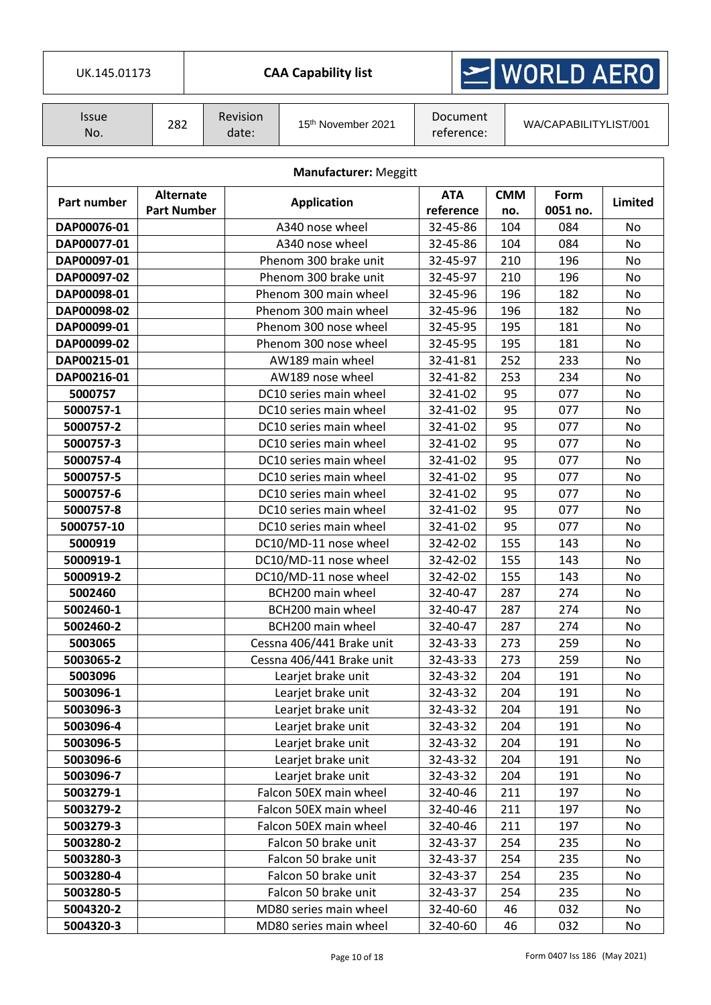| UK.145.01173 |  |
|--------------|--|

## $\ge$  WORLD AERO

| Issue<br>No. | 282 | Revision<br>date: | 15 <sup>th</sup> November 2021 | Document<br>reference: | WA/CAPABILITYLIST/001 |
|--------------|-----|-------------------|--------------------------------|------------------------|-----------------------|
|--------------|-----|-------------------|--------------------------------|------------------------|-----------------------|

| <b>Manufacturer: Meggitt</b> |                                        |                           |                         |                   |                  |                |  |  |  |  |
|------------------------------|----------------------------------------|---------------------------|-------------------------|-------------------|------------------|----------------|--|--|--|--|
| Part number                  | <b>Alternate</b><br><b>Part Number</b> | <b>Application</b>        | <b>ATA</b><br>reference | <b>CMM</b><br>no. | Form<br>0051 no. | <b>Limited</b> |  |  |  |  |
| DAP00076-01                  |                                        | A340 nose wheel           | 32-45-86                | 104               | 084              | No             |  |  |  |  |
| DAP00077-01                  |                                        | A340 nose wheel           | 32-45-86                | 104               | 084              | No             |  |  |  |  |
| DAP00097-01                  |                                        | Phenom 300 brake unit     | 32-45-97                | 210               | 196              | No             |  |  |  |  |
| DAP00097-02                  |                                        | Phenom 300 brake unit     | 32-45-97                | 210               | 196              | No             |  |  |  |  |
| DAP00098-01                  |                                        | Phenom 300 main wheel     | 32-45-96                | 196               | 182              | No             |  |  |  |  |
| DAP00098-02                  |                                        | Phenom 300 main wheel     | 32-45-96                | 196               | 182              | No             |  |  |  |  |
| DAP00099-01                  |                                        | Phenom 300 nose wheel     | 32-45-95                | 195               | 181              | No             |  |  |  |  |
| DAP00099-02                  |                                        | Phenom 300 nose wheel     | 32-45-95                | 195               | 181              | No             |  |  |  |  |
| DAP00215-01                  |                                        | AW189 main wheel          | 32-41-81                | 252               | 233              | No             |  |  |  |  |
| DAP00216-01                  |                                        | AW189 nose wheel          | 32-41-82                | 253               | 234              | No             |  |  |  |  |
| 5000757                      |                                        | DC10 series main wheel    | 32-41-02                | 95                | 077              | No             |  |  |  |  |
| 5000757-1                    |                                        | DC10 series main wheel    | 32-41-02                | 95                | 077              | No             |  |  |  |  |
| 5000757-2                    |                                        | DC10 series main wheel    | 32-41-02                | 95                | 077              | No             |  |  |  |  |
| 5000757-3                    |                                        | DC10 series main wheel    | 32-41-02                | 95                | 077              | No             |  |  |  |  |
| 5000757-4                    |                                        | DC10 series main wheel    | 32-41-02                | 95                | 077              | No             |  |  |  |  |
| 5000757-5                    |                                        | DC10 series main wheel    | 32-41-02                | 95                | 077              | No             |  |  |  |  |
| 5000757-6                    |                                        | DC10 series main wheel    | 32-41-02                | 95                | 077              | No             |  |  |  |  |
| 5000757-8                    |                                        | DC10 series main wheel    | 32-41-02                | 95                | 077              | No             |  |  |  |  |
| 5000757-10                   |                                        | DC10 series main wheel    | 32-41-02                | 95                | 077              | No             |  |  |  |  |
| 5000919                      |                                        | DC10/MD-11 nose wheel     | 32-42-02                | 155               | 143              | No             |  |  |  |  |
| 5000919-1                    |                                        | DC10/MD-11 nose wheel     | 32-42-02                | 155               | 143              | No             |  |  |  |  |
| 5000919-2                    |                                        | DC10/MD-11 nose wheel     | 32-42-02                | 155               | 143              | No             |  |  |  |  |
| 5002460                      |                                        | BCH200 main wheel         | 32-40-47                | 287               | 274              | No             |  |  |  |  |
| 5002460-1                    |                                        | BCH200 main wheel         | 32-40-47                | 287               | 274              | No             |  |  |  |  |
| 5002460-2                    |                                        | BCH200 main wheel         | 32-40-47                | 287               | 274              | No             |  |  |  |  |
| 5003065                      |                                        | Cessna 406/441 Brake unit | 32-43-33                | 273               | 259              | No             |  |  |  |  |
| 5003065-2                    |                                        | Cessna 406/441 Brake unit | 32-43-33                | 273               | 259              | No             |  |  |  |  |
| 5003096                      |                                        | Learjet brake unit        | 32-43-32                | 204               | 191              | No             |  |  |  |  |
| 5003096-1                    |                                        | Learjet brake unit        | 32-43-32                | 204               | 191              | No             |  |  |  |  |
| 5003096-3                    |                                        | Learjet brake unit        | 32-43-32                | 204               | 191              | No             |  |  |  |  |
| 5003096-4                    |                                        | Learjet brake unit        | 32-43-32                | 204               | 191              | No             |  |  |  |  |
| 5003096-5                    |                                        | Learjet brake unit        | 32-43-32                | 204               | 191              | No             |  |  |  |  |
| 5003096-6                    |                                        | Learjet brake unit        | 32-43-32                | 204               | 191              | No             |  |  |  |  |
| 5003096-7                    |                                        | Learjet brake unit        | 32-43-32                | 204               | 191              | No             |  |  |  |  |
| 5003279-1                    |                                        | Falcon 50EX main wheel    | 32-40-46                | 211               | 197              | No             |  |  |  |  |
| 5003279-2                    |                                        | Falcon 50EX main wheel    | 32-40-46                | 211               | 197              | No             |  |  |  |  |
| 5003279-3                    |                                        | Falcon 50EX main wheel    | 32-40-46                | 211               | 197              | No             |  |  |  |  |
| 5003280-2                    |                                        | Falcon 50 brake unit      | 32-43-37                | 254               | 235              | No             |  |  |  |  |
| 5003280-3                    |                                        | Falcon 50 brake unit      | 32-43-37                | 254               | 235              | No             |  |  |  |  |
| 5003280-4                    |                                        | Falcon 50 brake unit      | 32-43-37                | 254               | 235              | No             |  |  |  |  |
| 5003280-5                    |                                        | Falcon 50 brake unit      | 32-43-37                | 254               | 235              | No             |  |  |  |  |
| 5004320-2                    |                                        | MD80 series main wheel    | 32-40-60                | 46                | 032              | No             |  |  |  |  |
| 5004320-3                    |                                        | MD80 series main wheel    | 32-40-60                | 46                | 032              | No             |  |  |  |  |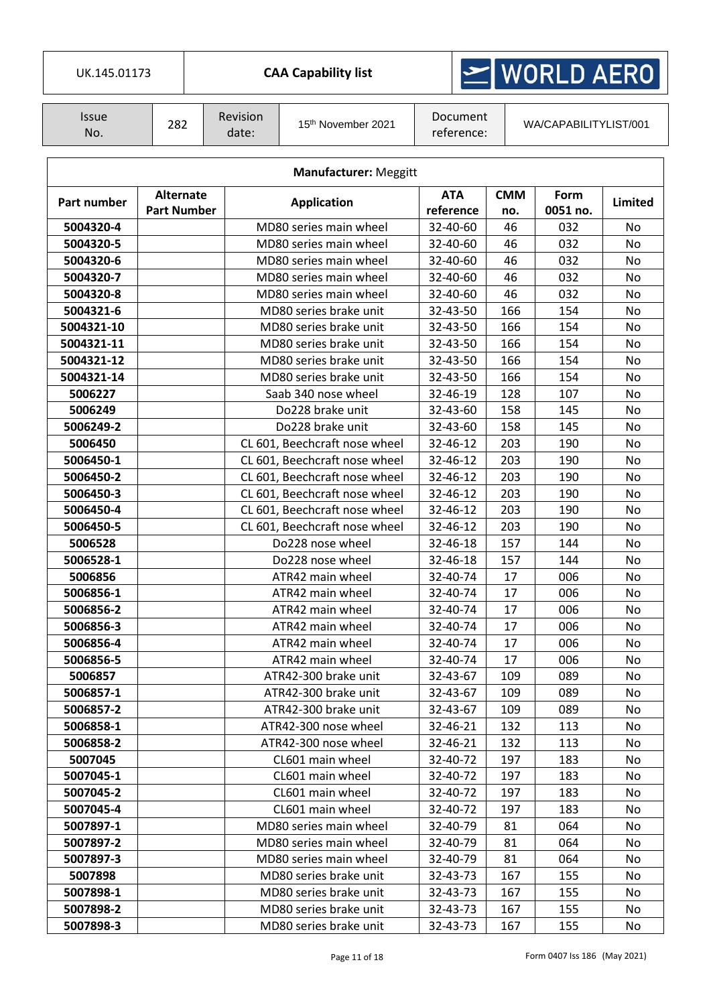| UK.145.01173                 |                    |  |                               | <b>CAA Capability list</b>    |                       |                        | $\leq$ WORLD AERO     |                 |         |  |
|------------------------------|--------------------|--|-------------------------------|-------------------------------|-----------------------|------------------------|-----------------------|-----------------|---------|--|
| <b>Issue</b><br>No.          | 282                |  | Revision<br>date:             | 15th November 2021            |                       | Document<br>reference: | WA/CAPABILITYLIST/001 |                 |         |  |
| <b>Manufacturer: Meggitt</b> |                    |  |                               |                               |                       |                        |                       |                 |         |  |
| Part number                  | <b>Alternate</b>   |  |                               | <b>Application</b>            | <b>ATA</b>            |                        | <b>CMM</b>            | Form            | Limited |  |
| 5004320-4                    | <b>Part Number</b> |  |                               | MD80 series main wheel        | reference<br>32-40-60 |                        | no.<br>46             | 0051 no.<br>032 | No      |  |
| 5004320-5                    |                    |  |                               | MD80 series main wheel        | 32-40-60              |                        | 46                    | 032             | No.     |  |
| 5004320-6                    |                    |  |                               | MD80 series main wheel        | 32-40-60              |                        | 46                    | 032             | No      |  |
| 5004320-7                    |                    |  |                               | MD80 series main wheel        | 32-40-60              |                        | 46                    | 032             | No      |  |
| 5004320-8                    |                    |  |                               | MD80 series main wheel        | 32-40-60              |                        | 46                    | 032             | No      |  |
| 5004321-6                    |                    |  |                               | MD80 series brake unit        | 32-43-50              |                        | 166                   | 154             | No      |  |
| 5004321-10                   |                    |  |                               | MD80 series brake unit        | 32-43-50              |                        | 166                   | 154             | No      |  |
| 5004321-11                   |                    |  |                               | MD80 series brake unit        | 32-43-50              |                        | 166                   | 154             | No      |  |
| 5004321-12                   |                    |  |                               | MD80 series brake unit        | 32-43-50              |                        | 166                   | 154             | No      |  |
| 5004321-14                   |                    |  |                               | MD80 series brake unit        | 32-43-50              |                        | 166                   | 154             | No      |  |
| 5006227                      |                    |  |                               | Saab 340 nose wheel           | 32-46-19              |                        | 128                   | 107             | No      |  |
| 5006249                      |                    |  |                               | Do228 brake unit              | 32-43-60              |                        | 158                   | 145             | No      |  |
| 5006249-2                    |                    |  |                               | Do228 brake unit              | 32-43-60              |                        | 158                   | 145             | No      |  |
| 5006450                      |                    |  |                               | CL 601, Beechcraft nose wheel | 32-46-12              |                        | 203                   | 190             | No      |  |
| 5006450-1                    |                    |  | CL 601, Beechcraft nose wheel |                               | 32-46-12              |                        | 203                   | 190             | No      |  |
| 5006450-2                    |                    |  | CL 601, Beechcraft nose wheel |                               | 32-46-12              |                        | 203                   | 190             | No      |  |
| 5006450-3                    |                    |  |                               | CL 601, Beechcraft nose wheel | 32-46-12              |                        | 203                   | 190             | No      |  |
| 5006450-4                    |                    |  |                               | CL 601, Beechcraft nose wheel | 32-46-12              |                        | 203                   | 190             | No      |  |
| 5006450-5                    |                    |  |                               | CL 601, Beechcraft nose wheel | 32-46-12              |                        | 203                   | 190             | No      |  |
| 5006528                      |                    |  |                               | Do228 nose wheel              | 32-46-18              |                        | 157                   | 144             | No      |  |
| 5006528-1                    |                    |  |                               | Do228 nose wheel              | 32-46-18              |                        | 157                   | 144             | No      |  |
| 5006856                      |                    |  |                               | ATR42 main wheel              | 32-40-74              |                        | 17                    | 006             | No      |  |
| 5006856-1                    |                    |  |                               | ATR42 main wheel              | 32-40-74              |                        | 17                    | 006             | No      |  |
| 5006856-2                    |                    |  |                               | ATR42 main wheel              | 32-40-74              |                        | 17                    | 006             | No      |  |
| 5006856-3                    |                    |  |                               | ATR42 main wheel              | 32-40-74              |                        | 17                    | 006             | No      |  |
| 5006856-4                    |                    |  |                               | ATR42 main wheel              | 32-40-74              |                        | 17                    | 006             | No      |  |
| 5006856-5                    |                    |  |                               | ATR42 main wheel              | 32-40-74              |                        | 17                    | 006             | No      |  |
| 5006857                      |                    |  |                               | ATR42-300 brake unit          | 32-43-67              |                        | 109                   | 089             | No      |  |
| 5006857-1                    |                    |  |                               | ATR42-300 brake unit          | 32-43-67              |                        | 109                   | 089             | No      |  |
| 5006857-2                    |                    |  |                               | ATR42-300 brake unit          | 32-43-67              |                        | 109                   | 089             | No.     |  |
| 5006858-1                    |                    |  |                               | ATR42-300 nose wheel          | 32-46-21              |                        | 132                   | 113             | No      |  |
| 5006858-2                    |                    |  |                               | ATR42-300 nose wheel          | 32-46-21              |                        | 132                   | 113             | No      |  |
| 5007045                      |                    |  |                               | CL601 main wheel              | 32-40-72              |                        | 197                   | 183             | No.     |  |
| 5007045-1                    |                    |  |                               | CL601 main wheel              | 32-40-72              |                        | 197                   | 183             | No      |  |
| 5007045-2                    |                    |  |                               | CL601 main wheel              | 32-40-72              |                        | 197                   | 183             | No      |  |
| 5007045-4                    |                    |  |                               | CL601 main wheel              | 32-40-72              |                        | 197                   | 183             | No.     |  |
| 5007897-1                    |                    |  |                               | MD80 series main wheel        | 32-40-79              |                        | 81                    | 064             | No      |  |
| 5007897-2                    |                    |  |                               | MD80 series main wheel        | 32-40-79              |                        | 81                    | 064             | No      |  |
| 5007897-3                    |                    |  |                               | MD80 series main wheel        | 32-40-79              |                        | 81                    | 064             | No      |  |
| 5007898                      |                    |  |                               | MD80 series brake unit        | 32-43-73              |                        | 167                   | 155             | No      |  |
| 5007898-1                    |                    |  |                               | MD80 series brake unit        | 32-43-73              |                        | 167                   | 155             | No      |  |
| 5007898-2                    |                    |  |                               | MD80 series brake unit        | 32-43-73              |                        | 167                   | 155             | No      |  |

**5007898-3** MD80 series brake unit 32-43-73 167 155 No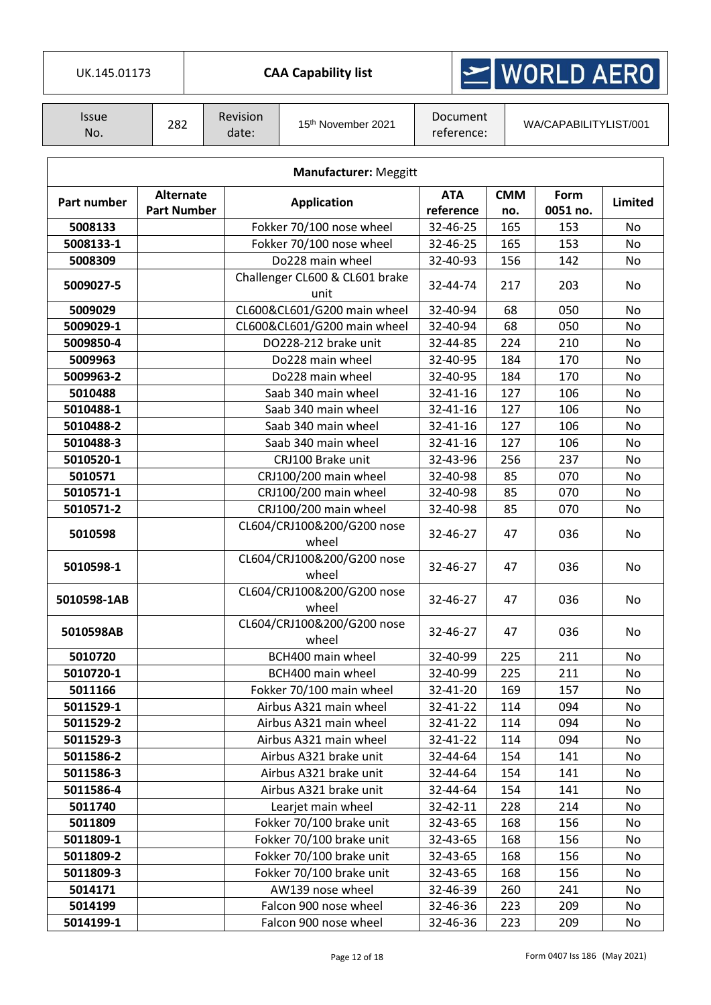|  | UK.145.01173 |  |  |
|--|--------------|--|--|
|  |              |  |  |

## $\ge$  WORLD AERO

| Issue<br>No. | 282 | <b>Revision</b><br>date: | 15 <sup>th</sup> November 2021 | Document<br>reference: | WA/CAPABILITYLIST/001 |
|--------------|-----|--------------------------|--------------------------------|------------------------|-----------------------|
|--------------|-----|--------------------------|--------------------------------|------------------------|-----------------------|

| <b>Manufacturer: Meggitt</b> |                                        |                                        |                         |                   |                  |                |  |  |  |
|------------------------------|----------------------------------------|----------------------------------------|-------------------------|-------------------|------------------|----------------|--|--|--|
| Part number                  | <b>Alternate</b><br><b>Part Number</b> | <b>Application</b>                     | <b>ATA</b><br>reference | <b>CMM</b><br>no. | Form<br>0051 no. | <b>Limited</b> |  |  |  |
| 5008133                      |                                        | Fokker 70/100 nose wheel               | 32-46-25                | 165               | 153              | No             |  |  |  |
| 5008133-1                    |                                        | Fokker 70/100 nose wheel               | 32-46-25                | 165               | 153              | No             |  |  |  |
| 5008309                      |                                        | Do228 main wheel                       | 32-40-93                | 156               | 142              | No             |  |  |  |
| 5009027-5                    |                                        | Challenger CL600 & CL601 brake<br>unit | 32-44-74                | 217               | 203              | No             |  |  |  |
| 5009029                      |                                        | CL600&CL601/G200 main wheel            | 32-40-94                | 68                | 050              | No             |  |  |  |
| 5009029-1                    |                                        | CL600&CL601/G200 main wheel            | 32-40-94                | 68                | 050              | No             |  |  |  |
| 5009850-4                    |                                        | DO228-212 brake unit                   | 32-44-85                | 224               | 210              | No             |  |  |  |
| 5009963                      |                                        | Do228 main wheel                       | 32-40-95                | 184               | 170              | No             |  |  |  |
| 5009963-2                    |                                        | Do228 main wheel                       | 32-40-95                | 184               | 170              | No             |  |  |  |
| 5010488                      |                                        | Saab 340 main wheel                    | 32-41-16                | 127               | 106              | No             |  |  |  |
| 5010488-1                    |                                        | Saab 340 main wheel                    | 32-41-16                | 127               | 106              | No             |  |  |  |
| 5010488-2                    |                                        | Saab 340 main wheel                    | 32-41-16                | 127               | 106              | No             |  |  |  |
| 5010488-3                    |                                        | Saab 340 main wheel                    | 32-41-16                | 127               | 106              | No             |  |  |  |
| 5010520-1                    |                                        | CRJ100 Brake unit                      | 32-43-96                | 256               | 237              | No             |  |  |  |
| 5010571                      |                                        | CRJ100/200 main wheel                  | 32-40-98                | 85                | 070              | No             |  |  |  |
| 5010571-1                    |                                        | CRJ100/200 main wheel                  | 32-40-98                | 85                | 070              | No             |  |  |  |
| 5010571-2                    |                                        | CRJ100/200 main wheel                  | 32-40-98                | 85                | 070              | No             |  |  |  |
| 5010598                      |                                        | CL604/CRJ100&200/G200 nose<br>wheel    | 32-46-27                | 47                | 036              | No             |  |  |  |
| 5010598-1                    |                                        | CL604/CRJ100&200/G200 nose<br>wheel    | 32-46-27                | 47                | 036              | No             |  |  |  |
| 5010598-1AB                  |                                        | CL604/CRJ100&200/G200 nose<br>wheel    | 32-46-27                | 47                | 036              | No             |  |  |  |
| 5010598AB                    |                                        | CL604/CRJ100&200/G200 nose<br>wheel    | 32-46-27                | 47                | 036              | No             |  |  |  |
| 5010720                      |                                        | BCH400 main wheel                      | 32-40-99                | 225               | 211              | No             |  |  |  |
| 5010720-1                    |                                        | BCH400 main wheel                      | 32-40-99                | 225               | 211              | No             |  |  |  |
| 5011166                      |                                        | Fokker 70/100 main wheel               | 32-41-20                | 169               | 157              | No             |  |  |  |
| 5011529-1                    |                                        | Airbus A321 main wheel                 | 32-41-22                | 114               | 094              | No             |  |  |  |
| 5011529-2                    |                                        | Airbus A321 main wheel                 | 32-41-22                | 114               | 094              | No             |  |  |  |
| 5011529-3                    |                                        | Airbus A321 main wheel                 | 32-41-22                | 114               | 094              | No             |  |  |  |
| 5011586-2                    |                                        | Airbus A321 brake unit                 | 32-44-64                | 154               | 141              | No             |  |  |  |
| 5011586-3                    |                                        | Airbus A321 brake unit                 | 32-44-64                | 154               | 141              | No             |  |  |  |
| 5011586-4                    |                                        | Airbus A321 brake unit                 | 32-44-64                | 154               | 141              | No             |  |  |  |
| 5011740                      |                                        | Learjet main wheel                     | 32-42-11                | 228               | 214              | No             |  |  |  |
| 5011809                      |                                        | Fokker 70/100 brake unit               | 32-43-65                | 168               | 156              | No             |  |  |  |
| 5011809-1                    |                                        | Fokker 70/100 brake unit               | 32-43-65                | 168               | 156              | No             |  |  |  |
| 5011809-2                    |                                        | Fokker 70/100 brake unit               | 32-43-65                | 168               | 156              | No             |  |  |  |
| 5011809-3                    |                                        | Fokker 70/100 brake unit               | 32-43-65                | 168               | 156              | No             |  |  |  |
| 5014171                      |                                        | AW139 nose wheel                       | 32-46-39                | 260               | 241              | No             |  |  |  |
| 5014199                      |                                        | Falcon 900 nose wheel                  | 32-46-36                | 223               | 209              | No             |  |  |  |
| 5014199-1                    |                                        | Falcon 900 nose wheel                  | 32-46-36                | 223               | 209              | No             |  |  |  |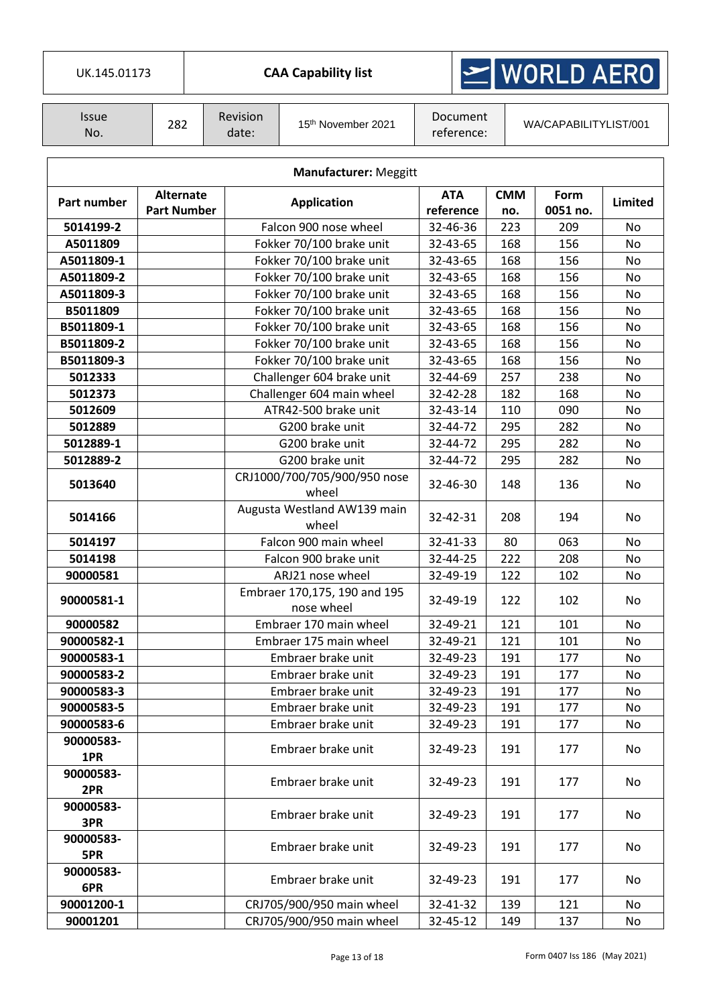| UK.145.01173                 |                                        |                   |  | MORLD AERO<br><b>CAA Capability list</b> |                         |          |                       |                  |                |
|------------------------------|----------------------------------------|-------------------|--|------------------------------------------|-------------------------|----------|-----------------------|------------------|----------------|
| <b>Issue</b><br>No.          | 282                                    | Revision<br>date: |  | 15 <sup>th</sup> November 2021           | Document<br>reference:  |          | WA/CAPABILITYLIST/001 |                  |                |
| <b>Manufacturer: Meggitt</b> |                                        |                   |  |                                          |                         |          |                       |                  |                |
| Part number                  | <b>Alternate</b><br><b>Part Number</b> |                   |  | <b>Application</b>                       | <b>ATA</b><br>reference |          | <b>CMM</b><br>no.     | Form<br>0051 no. | <b>Limited</b> |
| 5014199-2                    |                                        |                   |  | Falcon 900 nose wheel                    | 32-46-36                |          | 223                   | 209              | No             |
| A5011809                     |                                        |                   |  | Fokker 70/100 brake unit                 |                         | 32-43-65 | 168                   | 156              | No             |
| A5011809-1                   |                                        |                   |  | Fokker 70/100 brake unit                 | 32-43-65                |          | 168                   | 156              | No             |
| A5011809-2                   |                                        |                   |  | Fokker 70/100 brake unit                 | 32-43-65                |          | 168                   | 156              | No             |
| A5011809-3                   |                                        |                   |  | Fokker 70/100 brake unit                 | 32-43-65                |          | 168                   | 156              | No             |
| B5011809                     |                                        |                   |  | Fokker 70/100 brake unit                 | 32-43-65                |          | 168                   | 156              | No             |
| B5011809-1                   |                                        |                   |  | Fokker 70/100 brake unit                 | 32-43-65                |          | 168                   | 156              | No             |
| B5011809-2                   |                                        |                   |  | Fokker 70/100 brake unit                 | 32-43-65                |          | 168                   | 156              | No             |
| B5011809-3                   |                                        |                   |  | Fokker 70/100 brake unit                 | 32-43-65                |          | 168                   | 156              | No             |
| 5012333                      |                                        |                   |  | Challenger 604 brake unit                | 32-44-69                |          | 257                   | 238              | No             |
| 5012373                      |                                        |                   |  | Challenger 604 main wheel                | 32-42-28                |          | 182                   | 168              | No             |
| 5012609                      |                                        |                   |  | ATR42-500 brake unit                     | 32-43-14                |          | 110                   | 090              | No             |
| 5012889                      |                                        |                   |  | G200 brake unit                          | 32-44-72                |          | 295                   | 282              | No             |
| 5012889-1                    |                                        |                   |  | G200 brake unit                          | 32-44-72                |          | 295                   | 282              | No             |
| 5012889-2                    |                                        |                   |  | G200 brake unit                          | 32-44-72                |          | 295                   | 282              | No             |
| 5013640                      |                                        |                   |  | CRJ1000/700/705/900/950 nose<br>wheel    | 32-46-30                |          | 148                   | 136              | No             |
| 5014166                      |                                        |                   |  | Augusta Westland AW139 main<br>wheel     | 32-42-31                |          | 208                   | 194              | No             |
| <b>CO14107</b>               |                                        |                   |  | Folcon 000 moin whool                    | 22.422                  |          | $\Omega$              | nco.             | $\mathbf{N}$   |

 $\mathsf{I}$ 

| B5011809-3       | Fokker 70/100 brake unit                   | 32-43-65 | 168 | 156 | No        |
|------------------|--------------------------------------------|----------|-----|-----|-----------|
| 5012333          | Challenger 604 brake unit                  | 32-44-69 | 257 | 238 | No        |
| 5012373          | Challenger 604 main wheel                  | 32-42-28 | 182 | 168 | No        |
| 5012609          | ATR42-500 brake unit                       | 32-43-14 | 110 | 090 | No        |
| 5012889          | G200 brake unit                            | 32-44-72 | 295 | 282 | No        |
| 5012889-1        | G200 brake unit                            | 32-44-72 | 295 | 282 | <b>No</b> |
| 5012889-2        | G200 brake unit                            | 32-44-72 | 295 | 282 | No        |
| 5013640          | CRJ1000/700/705/900/950 nose<br>wheel      | 32-46-30 | 148 | 136 | <b>No</b> |
| 5014166          | Augusta Westland AW139 main<br>wheel       | 32-42-31 | 208 | 194 | No        |
| 5014197          | Falcon 900 main wheel                      | 32-41-33 | 80  | 063 | No        |
| 5014198          | Falcon 900 brake unit                      | 32-44-25 | 222 | 208 | No        |
| 90000581         | ARJ21 nose wheel                           | 32-49-19 | 122 | 102 | No        |
| 90000581-1       | Embraer 170,175, 190 and 195<br>nose wheel | 32-49-19 | 122 | 102 | No        |
| 90000582         | Embraer 170 main wheel                     | 32-49-21 | 121 | 101 | <b>No</b> |
| 90000582-1       | Embraer 175 main wheel                     | 32-49-21 | 121 | 101 | No        |
| 90000583-1       | Embraer brake unit                         | 32-49-23 | 191 | 177 | No        |
| 90000583-2       | Embraer brake unit                         | 32-49-23 | 191 | 177 | No        |
| 90000583-3       | Embraer brake unit                         | 32-49-23 | 191 | 177 | <b>No</b> |
| 90000583-5       | Embraer brake unit                         | 32-49-23 | 191 | 177 | <b>No</b> |
| 90000583-6       | Embraer brake unit                         | 32-49-23 | 191 | 177 | No        |
| 90000583-<br>1PR | Embraer brake unit                         | 32-49-23 | 191 | 177 | No        |
| 90000583-<br>2PR | Embraer brake unit                         | 32-49-23 | 191 | 177 | No        |
| 90000583-<br>3PR | Embraer brake unit                         | 32-49-23 | 191 | 177 | No        |
| 90000583-<br>5PR | Embraer brake unit                         | 32-49-23 | 191 | 177 | No        |
| 90000583-<br>6PR | Embraer brake unit                         | 32-49-23 | 191 | 177 | <b>No</b> |
| 90001200-1       | CRJ705/900/950 main wheel                  | 32-41-32 | 139 | 121 | No        |
| 90001201         | CRJ705/900/950 main wheel                  | 32-45-12 | 149 | 137 | No        |
|                  |                                            |          |     |     |           |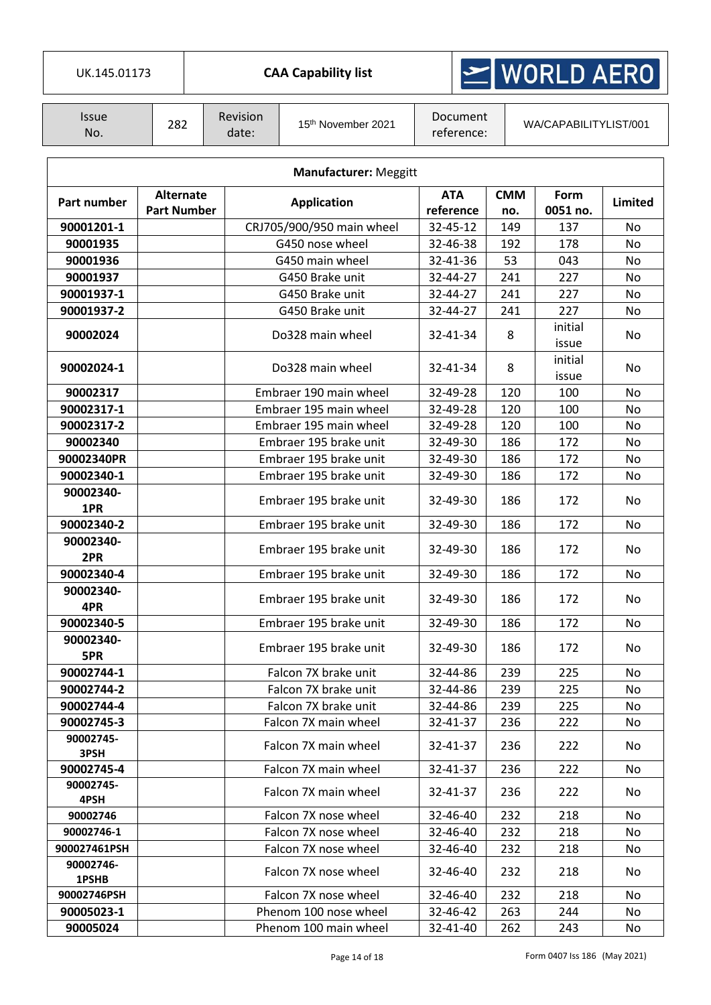| UK.145.01173                 |                    |  |                   | <b>CAA Capability list</b> |                        |                       | $\geq$ WORLD AERO |         |  |
|------------------------------|--------------------|--|-------------------|----------------------------|------------------------|-----------------------|-------------------|---------|--|
| <b>Issue</b><br>No.          | 282                |  | Revision<br>date: | 15th November 2021         | Document<br>reference: | WA/CAPABILITYLIST/001 |                   |         |  |
| <b>Manufacturer: Meggitt</b> |                    |  |                   |                            |                        |                       |                   |         |  |
| Part number                  | <b>Alternate</b>   |  |                   | <b>Application</b>         | <b>ATA</b>             | <b>CMM</b>            | Form              | Limited |  |
|                              | <b>Part Number</b> |  |                   |                            | reference              | no.                   | 0051 no.          |         |  |
| 90001201-1                   |                    |  |                   | CRJ705/900/950 main wheel  | 32-45-12               | 149                   | 137               | No      |  |
| 90001935                     |                    |  |                   | G450 nose wheel            | 32-46-38               | 192                   | 178               | No      |  |
| 90001936                     |                    |  |                   | G450 main wheel            | 32-41-36               | 53                    | 043               | No      |  |
| 90001937                     |                    |  |                   | G450 Brake unit            | 32-44-27               | 241                   | 227               | No      |  |
| 90001937-1                   |                    |  |                   | G450 Brake unit            | 32-44-27               | 241                   | 227               | No      |  |
| 90001937-2                   |                    |  |                   | G450 Brake unit            | 32-44-27               | 241                   | 227               | No      |  |
| 90002024                     |                    |  |                   | Do328 main wheel           | 32-41-34               | 8                     | initial<br>issue  | No      |  |
| 90002024-1                   |                    |  |                   | Do328 main wheel           | 32-41-34               | 8                     | initial<br>issue  | No      |  |
| 90002317                     |                    |  |                   | Embraer 190 main wheel     | 32-49-28               | 120                   | 100               | No      |  |
| 90002317-1                   |                    |  |                   | Embraer 195 main wheel     | 32-49-28               | 120                   | 100               | No      |  |
| 90002317-2                   |                    |  |                   | Embraer 195 main wheel     | 32-49-28               | 120                   | 100               | No      |  |
| 90002340                     |                    |  |                   | Embraer 195 brake unit     | 32-49-30               | 186                   | 172               | No      |  |
| 90002340PR                   |                    |  |                   | Embraer 195 brake unit     | 32-49-30               | 186                   | 172               | No      |  |
| 90002340-1                   |                    |  |                   | Embraer 195 brake unit     | 32-49-30               | 186                   | 172               | No      |  |
| 90002340-<br>1PR             |                    |  |                   | Embraer 195 brake unit     | 32-49-30               | 186                   | 172               | No      |  |
| 90002340-2                   |                    |  |                   | Embraer 195 brake unit     | 32-49-30               | 186                   | 172               | No      |  |
| 90002340-<br>2PR             |                    |  |                   | Embraer 195 brake unit     | 32-49-30               | 186                   | 172               | No      |  |
| 90002340-4                   |                    |  |                   | Embraer 195 brake unit     | 32-49-30               | 186                   | 172               | No      |  |
| 90002340-                    |                    |  |                   |                            |                        |                       |                   |         |  |
| 4PR                          |                    |  |                   | Embraer 195 brake unit     | 32-49-30               | 186                   | 172               | No      |  |
| 90002340-5                   |                    |  |                   | Embraer 195 brake unit     | 32-49-30               | 186                   | 172               | No.     |  |
| 90002340-<br>5PR             |                    |  |                   | Embraer 195 brake unit     | 32-49-30               | 186                   | 172               | No      |  |
| 90002744-1                   |                    |  |                   | Falcon 7X brake unit       | 32-44-86               | 239                   | 225               | No.     |  |
| 90002744-2                   |                    |  |                   | Falcon 7X brake unit       | 32-44-86               | 239                   | 225               | No.     |  |
| 90002744-4                   |                    |  |                   | Falcon 7X brake unit       | 32-44-86               | 239                   | 225               | No      |  |
| 90002745-3                   |                    |  |                   | Falcon 7X main wheel       | 32-41-37               | 236                   | 222               | No      |  |
| 90002745-<br>3PSH            |                    |  |                   | Falcon 7X main wheel       | 32-41-37               | 236                   | 222               | No.     |  |
| 90002745-4                   |                    |  |                   | Falcon 7X main wheel       | 32-41-37               | 236                   | 222               | No.     |  |
| 90002745-<br>4PSH            |                    |  |                   | Falcon 7X main wheel       | 32-41-37               | 236                   | 222               | No.     |  |
| 90002746                     |                    |  |                   | Falcon 7X nose wheel       | 32-46-40               | 232                   | 218               | No      |  |
| 90002746-1                   |                    |  |                   | Falcon 7X nose wheel       | 32-46-40               | 232                   | 218               | No      |  |
| 900027461PSH                 |                    |  |                   | Falcon 7X nose wheel       | 32-46-40               | 232                   | 218               | No      |  |
| 90002746-<br>1PSHB           |                    |  |                   | Falcon 7X nose wheel       | 32-46-40               | 232                   | 218               | No      |  |
| 90002746PSH                  |                    |  |                   | Falcon 7X nose wheel       | 32-46-40               | 232                   | 218               | No.     |  |
| 90005023-1                   |                    |  |                   | Phenom 100 nose wheel      | 32-46-42               | 263                   | 244               | No      |  |
| 90005024                     |                    |  |                   | Phenom 100 main wheel      | 32-41-40               | 262                   | 243               | No      |  |

I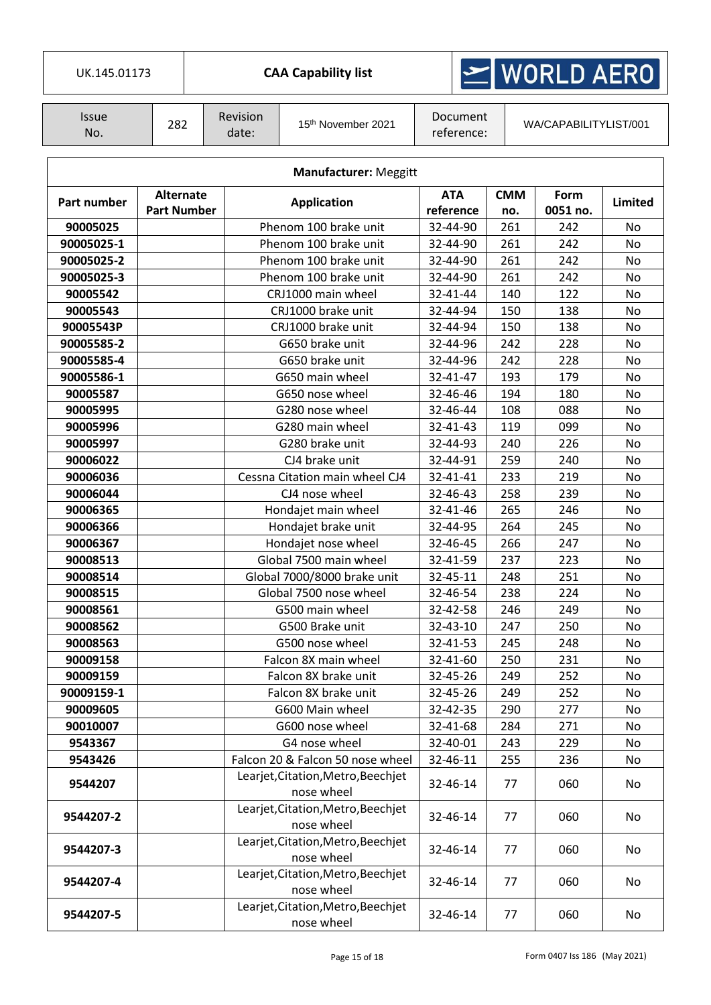| UK.145.01173 |  |
|--------------|--|

## $\ge$  WORLD AERO

| Issue<br>No. | 282 | Revision<br>date: | 15 <sup>th</sup> November 2021 | Document<br>reference: | WA/CAPABILITYLIST/001 |
|--------------|-----|-------------------|--------------------------------|------------------------|-----------------------|
|--------------|-----|-------------------|--------------------------------|------------------------|-----------------------|

|             | <b>Manufacturer: Meggitt</b>           |                                                  |                         |                   |                  |           |  |  |  |  |  |
|-------------|----------------------------------------|--------------------------------------------------|-------------------------|-------------------|------------------|-----------|--|--|--|--|--|
| Part number | <b>Alternate</b><br><b>Part Number</b> | <b>Application</b>                               | <b>ATA</b><br>reference | <b>CMM</b><br>no. | Form<br>0051 no. | Limited   |  |  |  |  |  |
| 90005025    |                                        | Phenom 100 brake unit                            | 32-44-90                | 261               | 242              | No        |  |  |  |  |  |
| 90005025-1  |                                        | Phenom 100 brake unit                            | 32-44-90                | 261               | 242              | No        |  |  |  |  |  |
| 90005025-2  |                                        | Phenom 100 brake unit                            | 32-44-90                | 261               | 242              | No        |  |  |  |  |  |
| 90005025-3  |                                        | Phenom 100 brake unit                            | 32-44-90                | 261               | 242              | No        |  |  |  |  |  |
| 90005542    |                                        | CRJ1000 main wheel                               | 32-41-44                | 140               | 122              | No        |  |  |  |  |  |
| 90005543    |                                        | CRJ1000 brake unit                               | 32-44-94                | 150               | 138              | No        |  |  |  |  |  |
| 90005543P   |                                        | CRJ1000 brake unit                               | 32-44-94                | 150               | 138              | No        |  |  |  |  |  |
| 90005585-2  |                                        | G650 brake unit                                  | 32-44-96                | 242               | 228              | No        |  |  |  |  |  |
| 90005585-4  |                                        | G650 brake unit                                  | 32-44-96                | 242               | 228              | No        |  |  |  |  |  |
| 90005586-1  |                                        | G650 main wheel                                  | 32-41-47                | 193               | 179              | No        |  |  |  |  |  |
| 90005587    |                                        | G650 nose wheel                                  | 32-46-46                | 194               | 180              | <b>No</b> |  |  |  |  |  |
| 90005995    |                                        | G280 nose wheel                                  | 32-46-44                | 108               | 088              | No        |  |  |  |  |  |
| 90005996    |                                        | G280 main wheel                                  | 32-41-43                | 119               | 099              | No        |  |  |  |  |  |
| 90005997    |                                        | G280 brake unit                                  | 32-44-93                | 240               | 226              | No        |  |  |  |  |  |
| 90006022    |                                        | CJ4 brake unit                                   | 32-44-91                | 259               | 240              | No        |  |  |  |  |  |
| 90006036    |                                        | Cessna Citation main wheel CJ4                   | 32-41-41                | 233               | 219              | No        |  |  |  |  |  |
| 90006044    |                                        | CJ4 nose wheel                                   | 32-46-43                | 258               | 239              | <b>No</b> |  |  |  |  |  |
| 90006365    |                                        | Hondajet main wheel                              | 32-41-46                | 265               | 246              | No        |  |  |  |  |  |
| 90006366    |                                        | Hondajet brake unit                              | 32-44-95                | 264               | 245              | No        |  |  |  |  |  |
| 90006367    |                                        | Hondajet nose wheel                              | 32-46-45                | 266               | 247              | <b>No</b> |  |  |  |  |  |
| 90008513    |                                        | Global 7500 main wheel                           | 32-41-59                | 237               | 223              | No        |  |  |  |  |  |
| 90008514    |                                        | Global 7000/8000 brake unit                      | 32-45-11                | 248               | 251              | No        |  |  |  |  |  |
| 90008515    |                                        | Global 7500 nose wheel                           | 32-46-54                | 238               | 224              | No        |  |  |  |  |  |
| 90008561    |                                        | G500 main wheel                                  | 32-42-58                | 246               | 249              | No        |  |  |  |  |  |
| 90008562    |                                        | G500 Brake unit                                  | 32-43-10                | 247               | 250              | No        |  |  |  |  |  |
| 90008563    |                                        | G500 nose wheel                                  | 32-41-53                | 245               | 248              | No        |  |  |  |  |  |
| 90009158    |                                        | Falcon 8X main wheel                             | 32-41-60                | 250               | 231              | No        |  |  |  |  |  |
| 90009159    |                                        | Falcon 8X brake unit                             | 32-45-26                | 249               | 252              | No        |  |  |  |  |  |
| 90009159-1  |                                        | Falcon 8X brake unit                             | 32-45-26                | 249               | 252              | No        |  |  |  |  |  |
| 90009605    |                                        | G600 Main wheel                                  | 32-42-35                | 290               | 277              | No        |  |  |  |  |  |
| 90010007    |                                        | G600 nose wheel                                  | 32-41-68                | 284               | 271              | No        |  |  |  |  |  |
| 9543367     |                                        | G4 nose wheel                                    | 32-40-01                | 243               | 229              | No        |  |  |  |  |  |
| 9543426     |                                        | Falcon 20 & Falcon 50 nose wheel                 | 32-46-11                | 255               | 236              | No        |  |  |  |  |  |
| 9544207     |                                        | Learjet, Citation, Metro, Beechjet<br>nose wheel | 32-46-14                | 77                | 060              | No        |  |  |  |  |  |
| 9544207-2   |                                        | Learjet, Citation, Metro, Beechjet<br>nose wheel | 32-46-14                | 77                | 060              | No        |  |  |  |  |  |
| 9544207-3   |                                        | Learjet, Citation, Metro, Beechjet<br>nose wheel | 32-46-14                | 77                | 060              | No        |  |  |  |  |  |
| 9544207-4   |                                        | Learjet, Citation, Metro, Beechjet<br>nose wheel | 32-46-14                | 77                | 060              | No        |  |  |  |  |  |
| 9544207-5   |                                        | Learjet, Citation, Metro, Beechjet<br>nose wheel | 32-46-14                | 77                | 060              | No        |  |  |  |  |  |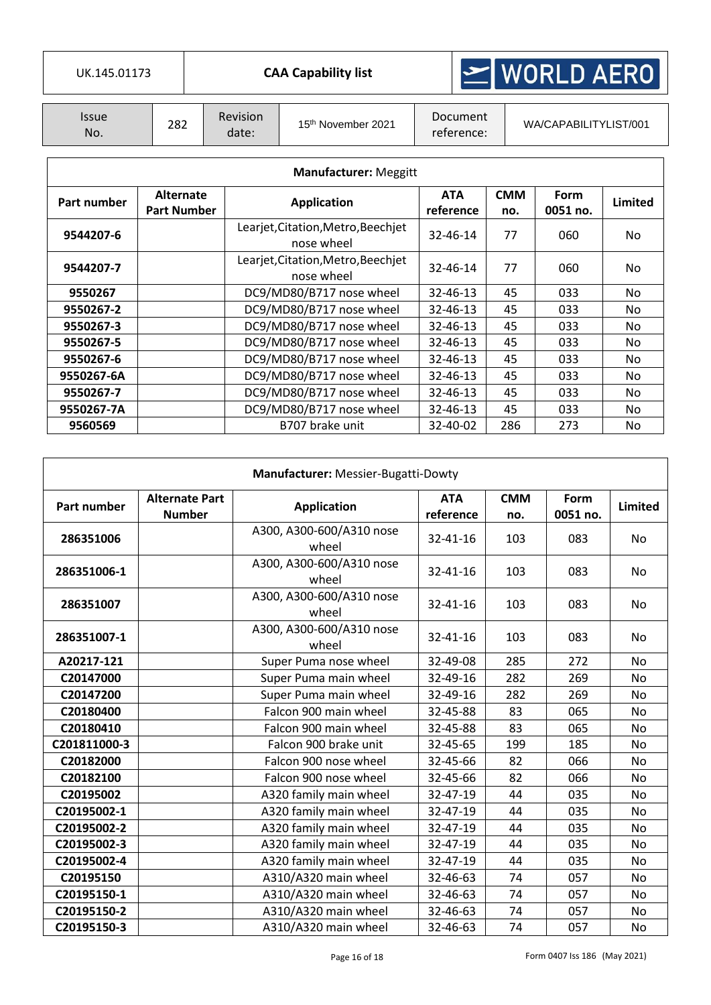| UK.145.01173               |     |                          | <b>CAA Capability list</b>     |                        | $\geq$ WORLD AERO     |
|----------------------------|-----|--------------------------|--------------------------------|------------------------|-----------------------|
|                            |     |                          |                                |                        |                       |
| <i><b>Issue</b></i><br>No. | 282 | <b>Revision</b><br>date: | 15 <sup>th</sup> November 2021 | Document<br>reference: | WA/CAPABILITYLIST/001 |

| <b>Manufacturer: Meggitt</b> |                                        |                                                  |                         |                   |                  |         |  |  |  |  |
|------------------------------|----------------------------------------|--------------------------------------------------|-------------------------|-------------------|------------------|---------|--|--|--|--|
| Part number                  | <b>Alternate</b><br><b>Part Number</b> | <b>Application</b>                               | <b>ATA</b><br>reference | <b>CMM</b><br>no. | Form<br>0051 no. | Limited |  |  |  |  |
| 9544207-6                    |                                        | Learjet, Citation, Metro, Beechjet<br>nose wheel | $32 - 46 - 14$          | 77                | 060              | No.     |  |  |  |  |
| 9544207-7                    |                                        | Learjet, Citation, Metro, Beechjet<br>nose wheel | 32-46-14                | 77                | 060              | No.     |  |  |  |  |
| 9550267                      |                                        | DC9/MD80/B717 nose wheel                         | $32 - 46 - 13$          | 45                | 033              | No.     |  |  |  |  |
| 9550267-2                    |                                        | DC9/MD80/B717 nose wheel                         | 32-46-13                | 45                | 033              | No.     |  |  |  |  |
| 9550267-3                    |                                        | DC9/MD80/B717 nose wheel                         | 32-46-13                | 45                | 033              | No.     |  |  |  |  |
| 9550267-5                    |                                        | DC9/MD80/B717 nose wheel                         | $32 - 46 - 13$          | 45                | 033              | No.     |  |  |  |  |
| 9550267-6                    |                                        | DC9/MD80/B717 nose wheel                         | 32-46-13                | 45                | 033              | No.     |  |  |  |  |
| 9550267-6A                   |                                        | DC9/MD80/B717 nose wheel                         | 32-46-13                | 45                | 033              | No.     |  |  |  |  |
| 9550267-7                    |                                        | DC9/MD80/B717 nose wheel                         | 32-46-13                | 45                | 033              | No.     |  |  |  |  |
| 9550267-7A                   |                                        | DC9/MD80/B717 nose wheel                         | 32-46-13                | 45                | 033              | No.     |  |  |  |  |
| 9560569                      |                                        | B707 brake unit                                  | 32-40-02                | 286               | 273              | No.     |  |  |  |  |

| Manufacturer: Messier-Bugatti-Dowty |                                        |                                   |                         |                   |                  |           |  |  |  |  |
|-------------------------------------|----------------------------------------|-----------------------------------|-------------------------|-------------------|------------------|-----------|--|--|--|--|
| Part number                         | <b>Alternate Part</b><br><b>Number</b> | <b>Application</b>                | <b>ATA</b><br>reference | <b>CMM</b><br>no. | Form<br>0051 no. | Limited   |  |  |  |  |
| 286351006                           |                                        | A300, A300-600/A310 nose<br>wheel | 32-41-16                | 103               | 083              | No        |  |  |  |  |
| 286351006-1                         |                                        | A300, A300-600/A310 nose<br>wheel | 32-41-16                | 103               | 083              | No.       |  |  |  |  |
| 286351007                           |                                        | A300, A300-600/A310 nose<br>wheel | 32-41-16                | 103               | 083              | <b>No</b> |  |  |  |  |
| 286351007-1                         |                                        | A300, A300-600/A310 nose<br>wheel | 32-41-16                | 103               | 083              | <b>No</b> |  |  |  |  |
| A20217-121                          |                                        | Super Puma nose wheel             | 32-49-08                | 285               | 272              | <b>No</b> |  |  |  |  |
| C20147000                           |                                        | Super Puma main wheel             | 32-49-16                | 282               | 269              | <b>No</b> |  |  |  |  |
| C20147200                           |                                        | Super Puma main wheel             | 32-49-16                | 282               | 269              | <b>No</b> |  |  |  |  |
| C20180400                           |                                        | Falcon 900 main wheel             | 32-45-88                | 83                | 065              | <b>No</b> |  |  |  |  |
| C20180410                           |                                        | Falcon 900 main wheel             | 32-45-88                | 83                | 065              | <b>No</b> |  |  |  |  |
| C201811000-3                        |                                        | Falcon 900 brake unit             | 32-45-65                | 199               | 185              | <b>No</b> |  |  |  |  |
| C20182000                           |                                        | Falcon 900 nose wheel             | 32-45-66                | 82                | 066              | <b>No</b> |  |  |  |  |
| C20182100                           |                                        | Falcon 900 nose wheel             | 32-45-66                | 82                | 066              | <b>No</b> |  |  |  |  |
| C20195002                           |                                        | A320 family main wheel            | 32-47-19                | 44                | 035              | <b>No</b> |  |  |  |  |
| C20195002-1                         |                                        | A320 family main wheel            | 32-47-19                | 44                | 035              | No.       |  |  |  |  |
| C20195002-2                         |                                        | A320 family main wheel            | 32-47-19                | 44                | 035              | <b>No</b> |  |  |  |  |
| C20195002-3                         |                                        | A320 family main wheel            | 32-47-19                | 44                | 035              | <b>No</b> |  |  |  |  |
| C20195002-4                         |                                        | A320 family main wheel            | 32-47-19                | 44                | 035              | <b>No</b> |  |  |  |  |
| C20195150                           |                                        | A310/A320 main wheel              | 32-46-63                | 74                | 057              | <b>No</b> |  |  |  |  |
| C20195150-1                         |                                        | A310/A320 main wheel              | 32-46-63                | 74                | 057              | <b>No</b> |  |  |  |  |
| C20195150-2                         |                                        | A310/A320 main wheel              | 32-46-63                | 74                | 057              | <b>No</b> |  |  |  |  |
| C20195150-3                         |                                        | A310/A320 main wheel              | 32-46-63                | 74                | 057              | No        |  |  |  |  |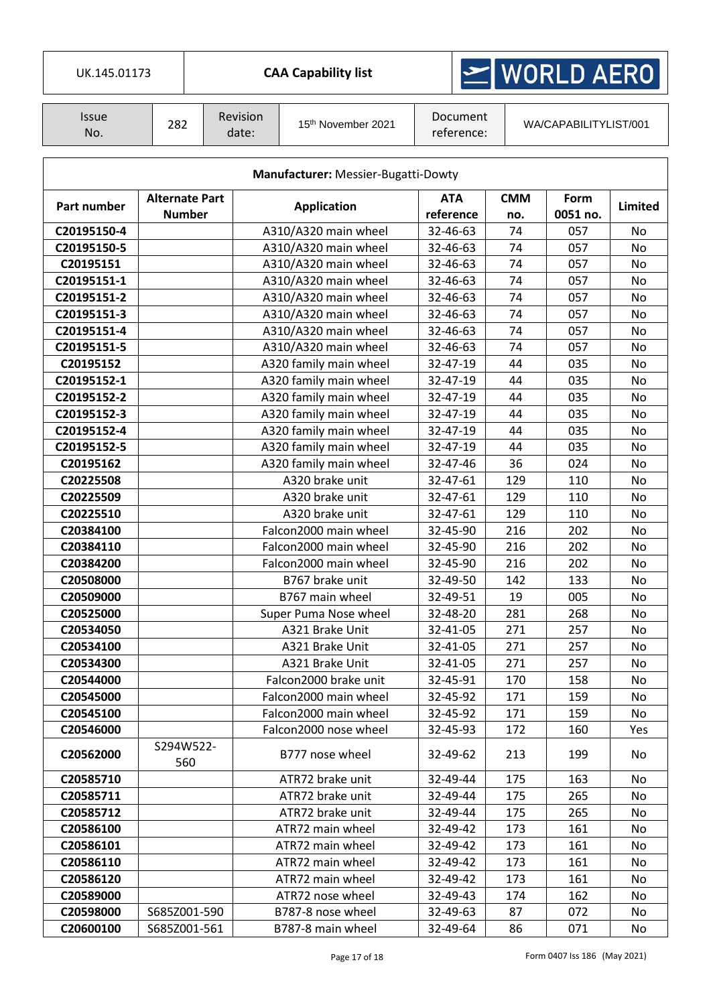| UK.145.01173        |                                        |                  |                   | <b>CAA Capability list</b>          |                         |                        | $\geq$ WORLD AERO |                       |                |    |
|---------------------|----------------------------------------|------------------|-------------------|-------------------------------------|-------------------------|------------------------|-------------------|-----------------------|----------------|----|
| <b>Issue</b><br>No. | 282                                    |                  | Revision<br>date: | 15th November 2021                  |                         | Document<br>reference: |                   | WA/CAPABILITYLIST/001 |                |    |
|                     |                                        |                  |                   | Manufacturer: Messier-Bugatti-Dowty |                         |                        |                   |                       |                |    |
| Part number         | <b>Alternate Part</b><br><b>Number</b> |                  |                   | <b>Application</b>                  | <b>ATA</b><br>reference |                        | <b>CMM</b><br>no. | Form<br>0051 no.      | <b>Limited</b> |    |
| C20195150-4         |                                        |                  |                   | A310/A320 main wheel                | 32-46-63                |                        | 74                | 057                   | No             |    |
| C20195150-5         |                                        |                  |                   | A310/A320 main wheel                | 32-46-63                |                        | 74                | 057                   | <b>No</b>      |    |
| C20195151           |                                        |                  |                   | A310/A320 main wheel                | 32-46-63                |                        | 74                | 057                   | No             |    |
| C20195151-1         |                                        |                  |                   | A310/A320 main wheel                | 32-46-63                |                        | 74                | 057                   | No             |    |
| C20195151-2         |                                        |                  |                   | A310/A320 main wheel                | 32-46-63                |                        | 74                | 057                   | No             |    |
| C20195151-3         |                                        |                  |                   | A310/A320 main wheel                | 32-46-63                |                        | 74                | 057                   | No             |    |
| C20195151-4         |                                        |                  |                   | A310/A320 main wheel                | 32-46-63                |                        | 74                | 057                   | No             |    |
| C20195151-5         |                                        |                  |                   | A310/A320 main wheel                | 32-46-63                |                        | 74                | 057                   | No             |    |
| C20195152           |                                        |                  |                   | A320 family main wheel              | 32-47-19                |                        | 44                | 035                   | No             |    |
| C20195152-1         |                                        |                  |                   | A320 family main wheel              | 32-47-19                |                        | 44                | 035                   | No             |    |
| C20195152-2         |                                        |                  |                   | A320 family main wheel              | 32-47-19                |                        | 44                | 035                   | No             |    |
| C20195152-3         |                                        |                  |                   | A320 family main wheel              | 32-47-19                |                        | 44                | 035                   | No             |    |
| C20195152-4         |                                        |                  |                   | A320 family main wheel              | 32-47-19                |                        | 44                | 035                   | No             |    |
| C20195152-5         |                                        |                  |                   | A320 family main wheel              | 32-47-19                |                        | 44                | 035                   | No             |    |
| C20195162           |                                        |                  |                   | A320 family main wheel              | 32-47-46                |                        | 36                | 024                   | No             |    |
| C20225508           |                                        |                  |                   | A320 brake unit                     | 32-47-61                |                        | 129               | 110                   | No             |    |
| C20225509           |                                        |                  |                   | A320 brake unit                     | 32-47-61                |                        | 129               | 110                   | No             |    |
| C20225510           |                                        |                  |                   | A320 brake unit                     | 32-47-61                |                        | 129               | 110                   | No             |    |
| C20384100           |                                        |                  |                   | Falcon2000 main wheel               |                         | 32-45-90               |                   | 216                   | 202            | No |
| C20384110           |                                        |                  |                   | Falcon2000 main wheel               | 32-45-90                |                        | 216               | 202                   | No             |    |
| C20384200           |                                        |                  |                   | Falcon2000 main wheel               | 32-45-90                |                        | 216               | 202                   | No             |    |
| C20508000           |                                        |                  |                   | B767 brake unit                     | 32-49-50                |                        | 142               | 133                   | No             |    |
| C20509000           |                                        |                  |                   | B767 main wheel                     | 32-49-51                |                        | 19                | 005                   | No             |    |
| C20525000           |                                        |                  |                   | Super Puma Nose wheel               | 32-48-20                |                        | 281               | 268                   | No.            |    |
| C20534050           |                                        |                  |                   | A321 Brake Unit                     | 32-41-05                |                        | 271               | 257                   | No             |    |
| C20534100           |                                        |                  |                   | A321 Brake Unit                     | 32-41-05                |                        | 271               | 257                   | No             |    |
| C20534300           |                                        |                  |                   | A321 Brake Unit                     | 32-41-05                |                        | 271               | 257                   | No             |    |
| C20544000           |                                        |                  |                   | Falcon2000 brake unit               | 32-45-91                |                        | 170               | 158                   | No             |    |
| C20545000           |                                        |                  |                   | Falcon2000 main wheel               | 32-45-92                |                        | 171               | 159                   | No             |    |
| C20545100           |                                        |                  |                   | Falcon2000 main wheel               | 32-45-92                |                        | 171               | 159                   | No             |    |
| C20546000           |                                        |                  |                   | Falcon2000 nose wheel               | 32-45-93                |                        | 172               | 160                   | Yes            |    |
| C20562000           |                                        | S294W522-<br>560 |                   | B777 nose wheel                     | 32-49-62                |                        | 213               | 199                   | No             |    |
| C20585710           |                                        |                  |                   | ATR72 brake unit                    | 32-49-44                |                        | 175               | 163                   | No             |    |
| C20585711           |                                        |                  |                   | ATR72 brake unit                    | 32-49-44                |                        | 175               | 265                   | No.            |    |
| C20585712           |                                        |                  |                   | ATR72 brake unit                    | 32-49-44                |                        | 175               | 265                   | No             |    |
| C20586100           |                                        |                  |                   | ATR72 main wheel                    | 32-49-42                |                        | 173               | 161                   | No             |    |
| C20586101           |                                        |                  |                   | ATR72 main wheel                    | 32-49-42                |                        | 173               | 161                   | No             |    |
| C20586110           |                                        |                  |                   | ATR72 main wheel                    | 32-49-42                |                        | 173               | 161                   | No             |    |
| C20586120           |                                        |                  |                   | ATR72 main wheel                    | 32-49-42                |                        | 173               | 161                   | No             |    |
| C20589000           |                                        |                  |                   | ATR72 nose wheel                    | 32-49-43                |                        | 174               | 162                   | No             |    |
| C20598000           |                                        | S685Z001-590     |                   | B787-8 nose wheel                   | 32-49-63                |                        | 87                | 072                   | No             |    |
| C20600100           |                                        | S685Z001-561     |                   | B787-8 main wheel                   | 32-49-64                |                        | 86                | 071                   | No             |    |